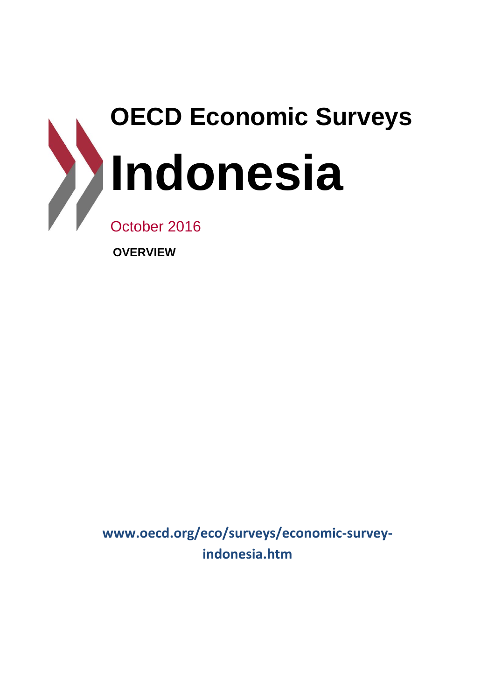

**OVERVIEW**

**www.oecd.org/eco/surveys/economic-surveyindonesia.htm**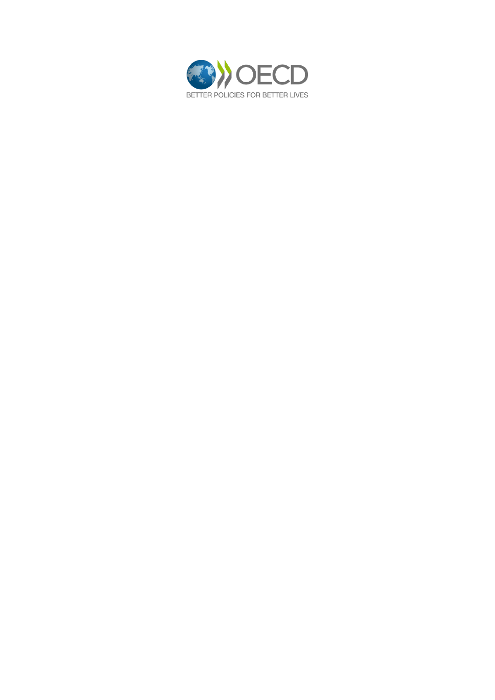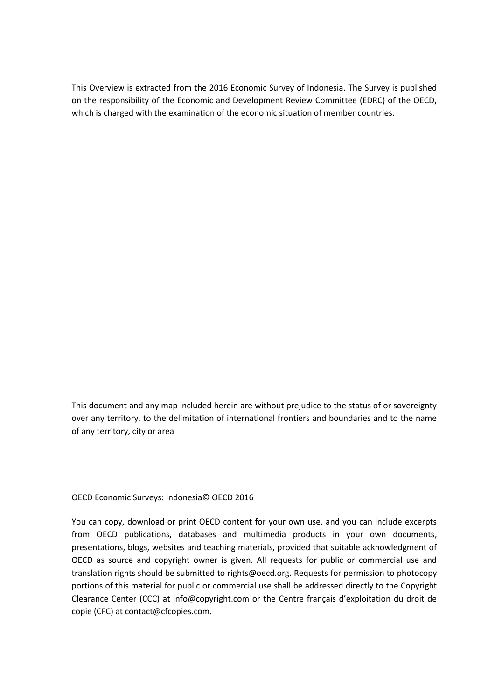This Overview is extracted from the 2016 Economic Survey of Indonesia. The Survey is published on the responsibility of the Economic and Development Review Committee (EDRC) of the OECD, which is charged with the examination of the economic situation of member countries.

This document and any map included herein are without prejudice to the status of or sovereignty over any territory, to the delimitation of international frontiers and boundaries and to the name of any territory, city or area

## OECD Economic Surveys: Indonesia© OECD 2016

You can copy, download or print OECD content for your own use, and you can include excerpts from OECD publications, databases and multimedia products in your own documents, presentations, blogs, websites and teaching materials, provided that suitable acknowledgment of OECD as source and copyright owner is given. All requests for public or commercial use and translation rights should be submitted to rights@oecd.org. Requests for permission to photocopy portions of this material for public or commercial use shall be addressed directly to the Copyright Clearance Center (CCC) at info@copyright.com or the Centre français d'exploitation du droit de copie (CFC) at contact@cfcopies.com.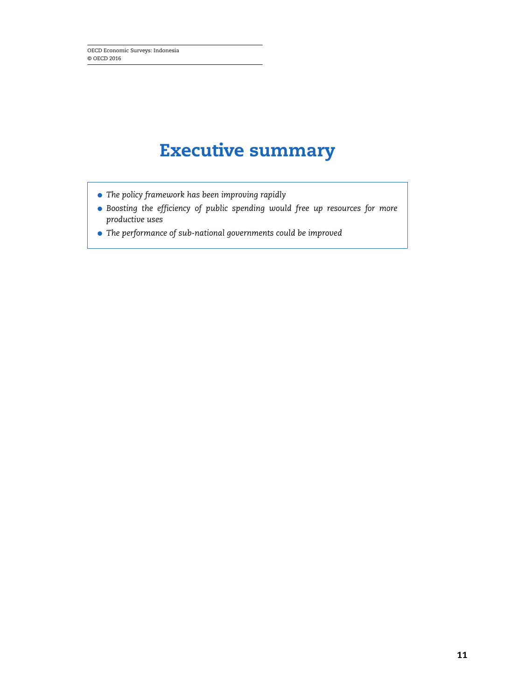# **Executive summary**

- *The policy framework has been improving rapidly*
- *Boosting the efficiency of public spending would free up resources for more productive uses*
- *The performance of sub-national governments could be improved*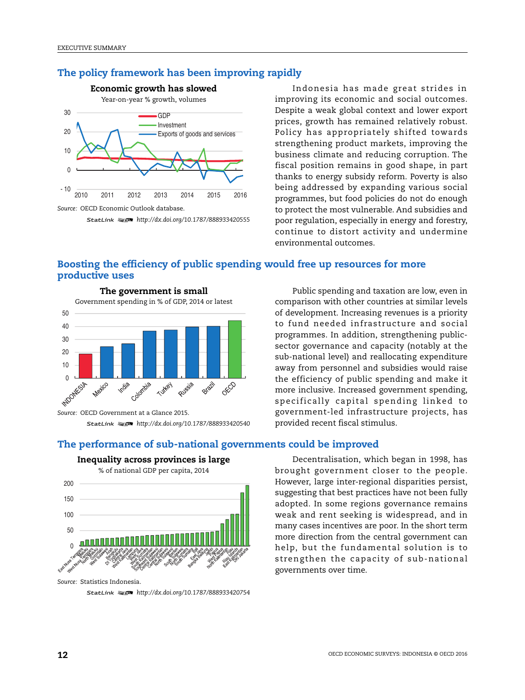## **The policy framework has been improving rapidly**



*Source:* OECD Economic Outlook database.

1 2 *http://dx.doi.org/10.1787/888933420555*

Indonesia has made great strides in improving its economic and social outcomes. Despite a weak global context and lower export prices, growth has remained relatively robust. Policy has appropriately shifted towards strengthening product markets, improving the business climate and reducing corruption. The fiscal position remains in good shape, in part thanks to energy subsidy reform. Poverty is also being addressed by expanding various social programmes, but food policies do not do enough to protect the most vulnerable. And subsidies and poor regulation, especially in energy and forestry, continue to distort activity and undermine environmental outcomes.

## **Boosting the efficiency of public spending would free up resources for more productive uses**



<sup>1 2</sup> *http://dx.doi.org/10.1787/888933420540*

## **The performance of sub-national governments could be improved**



*Source:* Statistics Indonesia.

1 2 *http://dx.doi.org/10.1787/888933420754*

Public spending and taxation are low, even in comparison with other countries at similar levels of development. Increasing revenues is a priority to fund needed infrastructure and social programmes. In addition, strengthening publicsector governance and capacity (notably at the sub-national level) and reallocating expenditure away from personnel and subsidies would raise the efficiency of public spending and make it more inclusive. Increased government spending, specifically capital spending linked to government-led infrastructure projects, has provided recent fiscal stimulus.

Decentralisation, which began in 1998, has brought government closer to the people. However, large inter-regional disparities persist, suggesting that best practices have not been fully adopted. In some regions governance remains weak and rent seeking is widespread, and in many cases incentives are poor. In the short term more direction from the central government can help, but the fundamental solution is to strengthen the capacity of sub-national governments over time.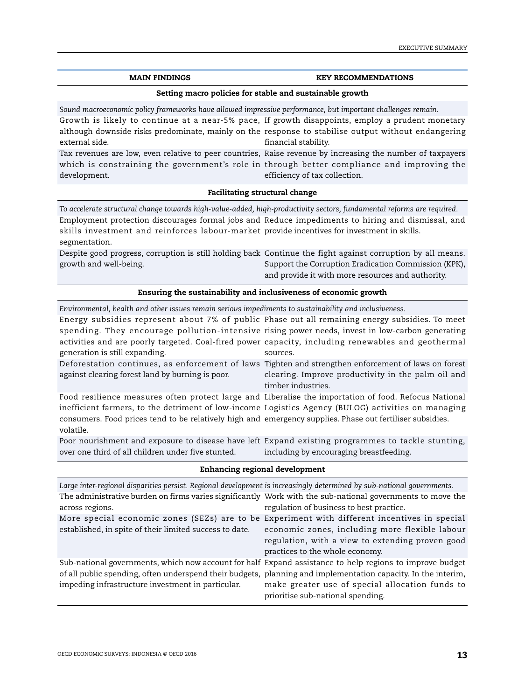| <b>MAIN FINDINGS</b>                                                                                                                                                                                                                   | <b>KEY RECOMMENDATIONS</b>                                                                                                                                                                                                                                                                                                                                                                                                                                                          |
|----------------------------------------------------------------------------------------------------------------------------------------------------------------------------------------------------------------------------------------|-------------------------------------------------------------------------------------------------------------------------------------------------------------------------------------------------------------------------------------------------------------------------------------------------------------------------------------------------------------------------------------------------------------------------------------------------------------------------------------|
|                                                                                                                                                                                                                                        | Setting macro policies for stable and sustainable growth                                                                                                                                                                                                                                                                                                                                                                                                                            |
| Sound macroeconomic policy frameworks have allowed impressive performance, but important challenges remain.<br>external side.<br>development.                                                                                          | Growth is likely to continue at a near-5% pace, If growth disappoints, employ a prudent monetary<br>although downside risks predominate, mainly on the response to stabilise output without endangering<br>financial stability.<br>Tax revenues are low, even relative to peer countries, Raise revenue by increasing the number of taxpayers<br>which is constraining the government's role in through better compliance and improving the<br>efficiency of tax collection.        |
|                                                                                                                                                                                                                                        | Facilitating structural change                                                                                                                                                                                                                                                                                                                                                                                                                                                      |
| To accelerate structural change towards high-value-added, high-productivity sectors, fundamental reforms are required.<br>skills investment and reinforces labour-market provide incentives for investment in skills.<br>segmentation. | Employment protection discourages formal jobs and Reduce impediments to hiring and dismissal, and<br>Despite good progress, corruption is still holding back Continue the fight against corruption by all means.                                                                                                                                                                                                                                                                    |
| growth and well-being.                                                                                                                                                                                                                 | Support the Corruption Eradication Commission (KPK),<br>and provide it with more resources and authority.                                                                                                                                                                                                                                                                                                                                                                           |
|                                                                                                                                                                                                                                        | Ensuring the sustainability and inclusiveness of economic growth                                                                                                                                                                                                                                                                                                                                                                                                                    |
| Environmental, health and other issues remain serious impediments to sustainability and inclusiveness.<br>generation is still expanding.<br>against clearing forest land by burning is poor.                                           | Energy subsidies represent about 7% of public Phase out all remaining energy subsidies. To meet<br>spending. They encourage pollution-intensive rising power needs, invest in low-carbon generating<br>activities and are poorly targeted. Coal-fired power capacity, including renewables and geothermal<br>sources.<br>Deforestation continues, as enforcement of laws Tighten and strengthen enforcement of laws on forest<br>clearing. Improve productivity in the palm oil and |
| consumers. Food prices tend to be relatively high and emergency supplies. Phase out fertiliser subsidies.<br>volatile.<br>over one third of all children under five stunted.                                                           | timber industries.<br>Food resilience measures often protect large and Liberalise the importation of food. Refocus National<br>inefficient farmers, to the detriment of low-income Logistics Agency (BULOG) activities on managing<br>Poor nourishment and exposure to disease have left Expand existing programmes to tackle stunting,<br>including by encouraging breastfeeding.                                                                                                  |
|                                                                                                                                                                                                                                        | <b>Enhancing regional development</b>                                                                                                                                                                                                                                                                                                                                                                                                                                               |
| Large inter-regional disparities persist. Regional development is increasingly determined by sub-national governments.<br>across regions.<br>established, in spite of their limited success to date.                                   | The administrative burden on firms varies significantly Work with the sub-national governments to move the<br>regulation of business to best practice.<br>More special economic zones (SEZs) are to be Experiment with different incentives in special<br>economic zones, including more flexible labour<br>regulation, with a view to extending proven good<br>practices to the whole economy.                                                                                     |
| impeding infrastructure investment in particular.                                                                                                                                                                                      | Sub-national governments, which now account for half Expand assistance to help regions to improve budget<br>of all public spending, often underspend their budgets, planning and implementation capacity. In the interim,<br>make greater use of special allocation funds to<br>prioritise sub-national spending.                                                                                                                                                                   |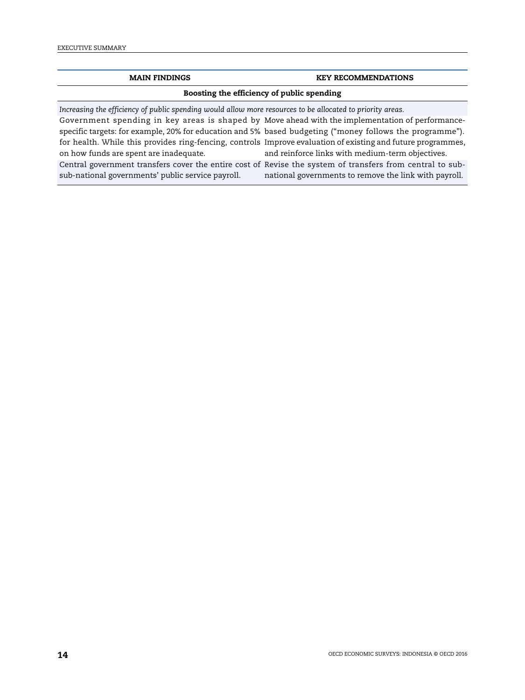| <b>MAIN FINDINGS</b>                                                                                       | <b>KEY RECOMMENDATIONS</b>                                                                                   |
|------------------------------------------------------------------------------------------------------------|--------------------------------------------------------------------------------------------------------------|
|                                                                                                            | Boosting the efficiency of public spending                                                                   |
| Increasing the efficiency of public spending would allow more resources to be allocated to priority areas. |                                                                                                              |
|                                                                                                            | Government spending in key areas is shaped by Move ahead with the implementation of performance-             |
|                                                                                                            | specific targets: for example, 20% for education and 5% based budgeting ("money follows the programme").     |
|                                                                                                            | for health. While this provides ring-fencing, controls Improve evaluation of existing and future programmes, |
| on how funds are spent are inadequate.                                                                     | and reinforce links with medium-term objectives.                                                             |
|                                                                                                            | Central government transfers cover the entire cost of Revise the system of transfers from central to sub-    |
| sub-national governments' public service payroll.                                                          | national governments to remove the link with payroll.                                                        |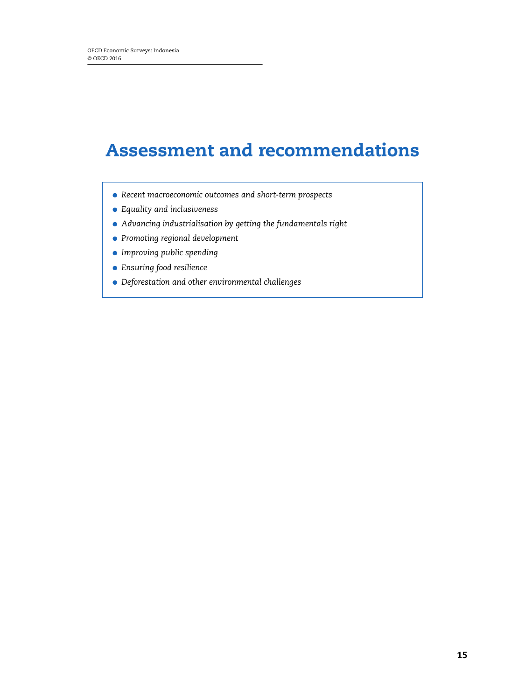## **Assessment and recommendations**

- *Recent macroeconomic outcomes and short-term prospects*
- *Equality and inclusiveness*
- *Advancing industrialisation by getting the fundamentals right*
- *Promoting regional development*
- *Improving public spending*
- *Ensuring food resilience*
- *Deforestation and other environmental challenges*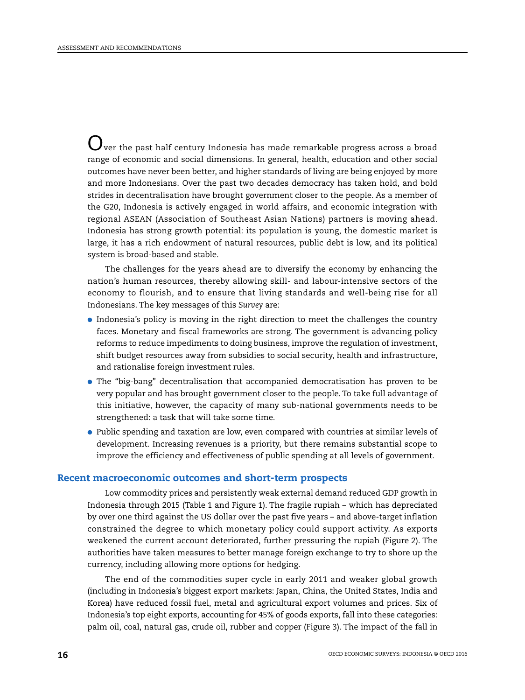$\bm{J}$ ver the past half century Indonesia has made remarkable progress across a broad range of economic and social dimensions. In general, health, education and other social outcomes have never been better, and higher standards of living are being enjoyed by more and more Indonesians. Over the past two decades democracy has taken hold, and bold strides in decentralisation have brought government closer to the people. As a member of the G20, Indonesia is actively engaged in world affairs, and economic integration with regional ASEAN (Association of Southeast Asian Nations) partners is moving ahead. Indonesia has strong growth potential: its population is young, the domestic market is large, it has a rich endowment of natural resources, public debt is low, and its political system is broad-based and stable.

The challenges for the years ahead are to diversify the economy by enhancing the nation's human resources, thereby allowing skill- and labour-intensive sectors of the economy to flourish, and to ensure that living standards and well-being rise for all Indonesians. The key messages of this *Survey* are:

- Indonesia's policy is moving in the right direction to meet the challenges the country faces. Monetary and fiscal frameworks are strong. The government is advancing policy reforms to reduce impediments to doing business, improve the regulation of investment, shift budget resources away from subsidies to social security, health and infrastructure, and rationalise foreign investment rules.
- The "big-bang" decentralisation that accompanied democratisation has proven to be very popular and has brought government closer to the people. To take full advantage of this initiative, however, the capacity of many sub-national governments needs to be strengthened: a task that will take some time.
- Public spending and taxation are low, even compared with countries at similar levels of development. Increasing revenues is a priority, but there remains substantial scope to improve the efficiency and effectiveness of public spending at all levels of government.

#### **Recent macroeconomic outcomes and short-term prospects**

Low commodity prices and persistently weak external demand reduced GDP growth in Indonesia through 2015 (Table 1 and Figure 1). The fragile rupiah – which has depreciated by over one third against the US dollar over the past five years – and above-target inflation constrained the degree to which monetary policy could support activity. As exports weakened the current account deteriorated, further pressuring the rupiah (Figure 2). The authorities have taken measures to better manage foreign exchange to try to shore up the currency, including allowing more options for hedging.

The end of the commodities super cycle in early 2011 and weaker global growth (including in Indonesia's biggest export markets: Japan, China, the United States, India and Korea) have reduced fossil fuel, metal and agricultural export volumes and prices. Six of Indonesia's top eight exports, accounting for 45% of goods exports, fall into these categories: palm oil, coal, natural gas, crude oil, rubber and copper (Figure 3). The impact of the fall in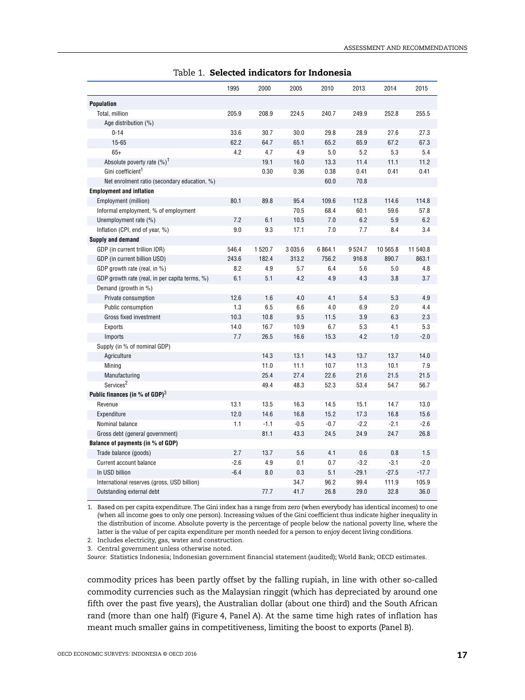|                                                | 1995   | 2000   | 2005        | 2010      | 2013    | 2014     | 2015     |
|------------------------------------------------|--------|--------|-------------|-----------|---------|----------|----------|
| Population                                     |        |        |             |           |         |          |          |
| Total, million                                 | 205.9  | 208.9  | 224.5       | 240.7     | 249.9   | 252.8    | 255.5    |
| Age distribution (%)                           |        |        |             |           |         |          |          |
| $0 - 14$                                       | 33.6   | 30.7   | 30.0        | 29.8      | 28.9    | 27.6     | 27.3     |
| $15 - 65$                                      | 62.2   | 64.7   | 65.1        | 65.2      | 65.9    | 67.2     | 67.3     |
| $65+$                                          | 4.2    | 4.7    | 4.9         | 5.0       | 5.2     | 5.3      | 5.4      |
| Absolute poverty rate $(\%)^1$                 |        | 19.1   | 16.0        | 13.3      | 11.4    | 11.1     | 11.2     |
| Gini coefficient <sup>1</sup>                  |        | 0.30   | 0.36        | 0.38      | 0.41    | 0.41     | 0.41     |
| Net enrolment ratio (secondary education, %)   |        |        |             | 60.0      | 70.8    |          |          |
| <b>Employment and inflation</b>                |        |        |             |           |         |          |          |
| Employment (million)                           | 80.1   | 89.8   | 95.4        | 109.6     | 112.8   | 114.6    | 114.8    |
| Informal employment, % of employment           |        |        | 70.5        | 68.4      | 60.1    | 59.6     | 57.8     |
| Unemployment rate (%)                          | 7.2    | 6.1    | 10.5        | 7.0       | 6.2     | 5.9      | 6.2      |
| Inflation (CPI, end of year, %)                | 9.0    | 9.3    | 17.1        | 7.0       | 7.7     | 8.4      | 3.4      |
| <b>Supply and demand</b>                       |        |        |             |           |         |          |          |
| GDP (in current trillion IDR)                  | 546.4  | 1520.7 | 3 0 3 5 . 6 | 6 8 6 4.1 | 9524.7  | 10 565.8 | 11 540.8 |
| GDP (in current billion USD)                   | 243.6  | 182.4  | 313.2       | 756.2     | 916.8   | 890.7    | 863.1    |
| GDP growth rate (real, in %)                   | 8.2    | 4.9    | 5.7         | 6.4       | 5.6     | 5.0      | 4.8      |
| GDP growth rate (real, in per capita terms, %) | 6.1    | 5.1    | 4.2         | 4.9       | 4.3     | 3.8      | 3.7      |
| Demand (growth in %)                           |        |        |             |           |         |          |          |
| Private consumption                            | 12.6   | 1.6    | 4.0         | 4.1       | 5.4     | 5.3      | 4.9      |
| Public consumption                             | 1.3    | 6.5    | 6.6         | 4.0       | 6.9     | 2.0      | 4.4      |
| Gross fixed investment                         | 10.3   | 10.8   | 9.5         | 11.5      | 3.9     | 6.3      | 2.3      |
| Exports                                        | 14.0   | 16.7   | 10.9        | 6.7       | 5.3     | 4.1      | 5.3      |
| Imports                                        | 7.7    | 26.5   | 16.6        | 15.3      | 4.2     | 1.0      | $-2.0$   |
| Supply (in % of nominal GDP)                   |        |        |             |           |         |          |          |
| Agriculture                                    |        | 14.3   | 13.1        | 14.3      | 13.7    | 13.7     | 14.0     |
| Mining                                         |        | 11.0   | 11.1        | 10.7      | 11.3    | 10.1     | 7.9      |
| Manufacturing                                  |        | 25.4   | 27.4        | 22.6      | 21.6    | 21.5     | 21.5     |
| Services <sup>2</sup>                          |        | 49.4   | 48.3        | 52.3      | 53.4    | 54.7     | 56.7     |
| Public finances (in % of GDP) $3$              |        |        |             |           |         |          |          |
| Revenue                                        | 13.1   | 13.5   | 16.3        | 14.5      | 15.1    | 14.7     | 13.0     |
| Expenditure                                    | 12.0   | 14.6   | 16.8        | 15.2      | 17.3    | 16.8     | 15.6     |
| Nominal balance                                | 1.1    | $-1.1$ | $-0.5$      | $-0.7$    | $-2.2$  | $-2.1$   | $-2.6$   |
| Gross debt (general government)                |        | 81.1   | 43.3        | 24.5      | 24.9    | 24.7     | 26.8     |
| Balance of payments (in % of GDP)              |        |        |             |           |         |          |          |
| Trade balance (goods)                          | 2.7    | 13.7   | 5.6         | 4.1       | 0.6     | 0.8      | 1.5      |
| Current account balance                        | $-2.6$ | 4.9    | 0.1         | 0.7       | $-3.2$  | $-3.1$   | $-2.0$   |
| In USD billion                                 | $-6.4$ | 8.0    | 0.3         | 5.1       | $-29.1$ | $-27.5$  | $-17.7$  |
| International reserves (gross, USD billion)    |        |        | 34.7        | 96.2      | 99.4    | 111.9    | 105.9    |
| Outstanding external debt                      |        | 77.7   | 41.7        | 26.8      | 29.0    | 32.8     | 36.0     |

Table 1. **Selected indicators for Indonesia**

1. Based on per capita expenditure. The Gini index has a range from zero (when everybody has identical incomes) to one (when all income goes to only one person). Increasing values of the Gini coefficient thus indicate higher inequality in the distribution of income. Absolute poverty is the percentage of people below the national poverty line, where the latter is the value of per capita expenditure per month needed for a person to enjoy decent living conditions.

2. Includes electricity, gas, water and construction.

3. Central government unless otherwise noted.

*Source:* Statistics Indonesia; Indonesian government financial statement (audited); World Bank; OECD estimates.

commodity prices has been partly offset by the falling rupiah, in line with other so-called commodity currencies such as the Malaysian ringgit (which has depreciated by around one fifth over the past five years), the Australian dollar (about one third) and the South African rand (more than one half) (Figure 4, Panel A). At the same time high rates of inflation has meant much smaller gains in competitiveness, limiting the boost to exports (Panel B).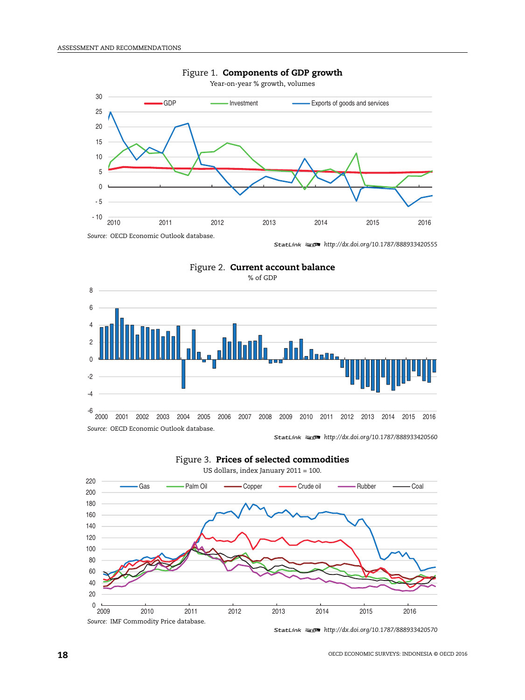



1 2 *http://dx.doi.org/10.1787/888933420555*



Figure 3. **Prices of selected commodities** US dollars, index January 2011 = 100. *Source:* IMF Commodity Price database.  $0\frac{1}{2009}$ 20 40 60 80 100 120 140 160 180 200 220 2009 2010 2011 2012 2013 2014 2015 2016 Gas - Palm Oil - Copper - Crude oil - Rubber - Coal

1 2 *http://dx.doi.org/10.1787/888933420570*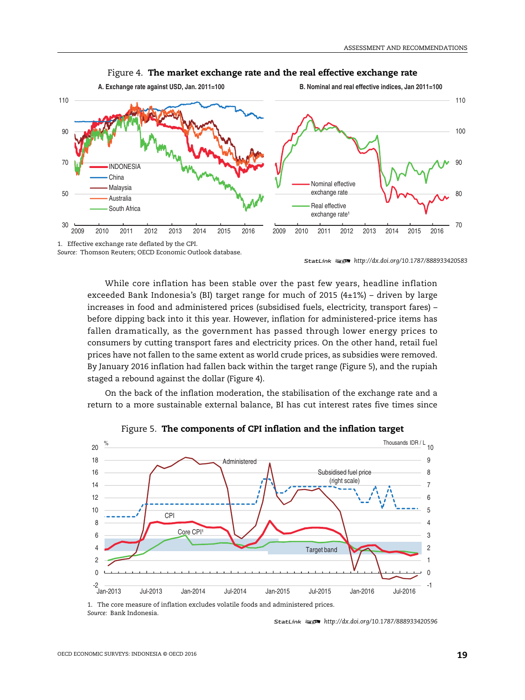

#### Figure 4. **The market exchange rate and the real effective exchange rate**

*Source:* Thomson Reuters; OECD Economic Outlook database.

1 2 *http://dx.doi.org/10.1787/888933420583*

While core inflation has been stable over the past few years, headline inflation exceeded Bank Indonesia's (BI) target range for much of 2015  $(4\pm1%)$  – driven by large increases in food and administered prices (subsidised fuels, electricity, transport fares) – before dipping back into it this year. However, inflation for administered-price items has fallen dramatically, as the government has passed through lower energy prices to consumers by cutting transport fares and electricity prices. On the other hand, retail fuel prices have not fallen to the same extent as world crude prices, as subsidies were removed. By January 2016 inflation had fallen back within the target range (Figure 5), and the rupiah staged a rebound against the dollar (Figure 4).

On the back of the inflation moderation, the stabilisation of the exchange rate and a return to a more sustainable external balance, BI has cut interest rates five times since



Figure 5. **The components of CPI inflation and the inflation target**

1. The core measure of inflation excludes volatile foods and administered prices. *Source:* Bank Indonesia.

1 2 *http://dx.doi.org/10.1787/888933420596*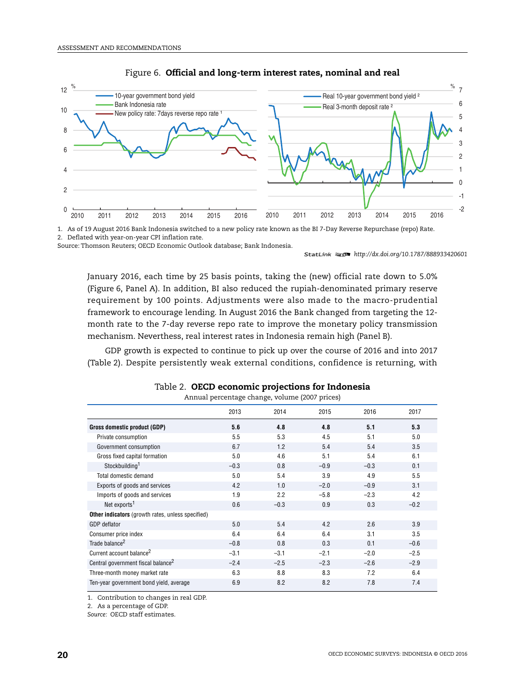

#### Figure 6. **Official and long-term interest rates, nominal and real**

1. As of 19 August 2016 Bank Indonesia switched to a new policy rate known as the BI 7-Day Reverse Repurchase (repo) Rate. 2. Deflated with year-on-year CPI inflation rate.

Source: Thomson Reuters; OECD Economic Outlook database; Bank Indonesia.

1 2 *http://dx.doi.org/10.1787/888933420601*

January 2016, each time by 25 basis points, taking the (new) official rate down to 5.0% (Figure 6, Panel A). In addition, BI also reduced the rupiah-denominated primary reserve requirement by 100 points. Adjustments were also made to the macro-prudential framework to encourage lending. In August 2016 the Bank changed from targeting the 12 month rate to the 7-day reverse repo rate to improve the monetary policy transmission mechanism. Neverthess, real interest rates in Indonesia remain high (Panel B).

GDP growth is expected to continue to pick up over the course of 2016 and into 2017 (Table 2). Despite persistently weak external conditions, confidence is returning, with

|                                                          | Annual percentage change, volume (2007 prices) |        |        |        |        |
|----------------------------------------------------------|------------------------------------------------|--------|--------|--------|--------|
|                                                          | 2013                                           | 2014   | 2015   | 2016   | 2017   |
| Gross domestic product (GDP)                             | 5.6                                            | 4.8    | 4.8    | 5.1    | 5.3    |
| Private consumption                                      | 5.5                                            | 5.3    | 4.5    | 5.1    | 5.0    |
| Government consumption                                   | 6.7                                            | 1.2    | 5.4    | 5.4    | 3.5    |
| Gross fixed capital formation                            | 5.0                                            | 4.6    | 5.1    | 5.4    | 6.1    |
| Stockbuilding <sup>1</sup>                               | $-0.3$                                         | 0.8    | $-0.9$ | $-0.3$ | 0.1    |
| Total domestic demand                                    | 5.0                                            | 5.4    | 3.9    | 4.9    | 5.5    |
| Exports of goods and services                            | 4.2                                            | 1.0    | $-2.0$ | $-0.9$ | 3.1    |
| Imports of goods and services                            | 1.9                                            | 2.2    | $-5.8$ | $-2.3$ | 4.2    |
| Net exports <sup>1</sup>                                 | 0.6                                            | $-0.3$ | 0.9    | 0.3    | $-0.2$ |
| <b>Other indicators</b> (growth rates, unless specified) |                                                |        |        |        |        |
| <b>GDP</b> deflator                                      | 5.0                                            | 5.4    | 4.2    | 2.6    | 3.9    |
| Consumer price index                                     | 6.4                                            | 6.4    | 6.4    | 3.1    | 3.5    |
| Trade balance <sup>2</sup>                               | $-0.8$                                         | 0.8    | 0.3    | 0.1    | $-0.6$ |
| Current account balance <sup>2</sup>                     | $-3.1$                                         | $-3.1$ | $-2.1$ | $-2.0$ | $-2.5$ |
| Central government fiscal balance <sup>2</sup>           | $-2.4$                                         | $-2.5$ | $-2.3$ | $-2.6$ | $-2.9$ |
| Three-month money market rate                            | 6.3                                            | 8.8    | 8.3    | 7.2    | 6.4    |
| Ten-year government bond yield, average                  | 6.9                                            | 8.2    | 8.2    | 7.8    | 7.4    |

Table 2. **OECD economic projections for Indonesia** Annual percentage change, volume (2007 prices)

1. Contribution to changes in real GDP.

2. As a percentage of GDP.

*Source:* OECD staff estimates.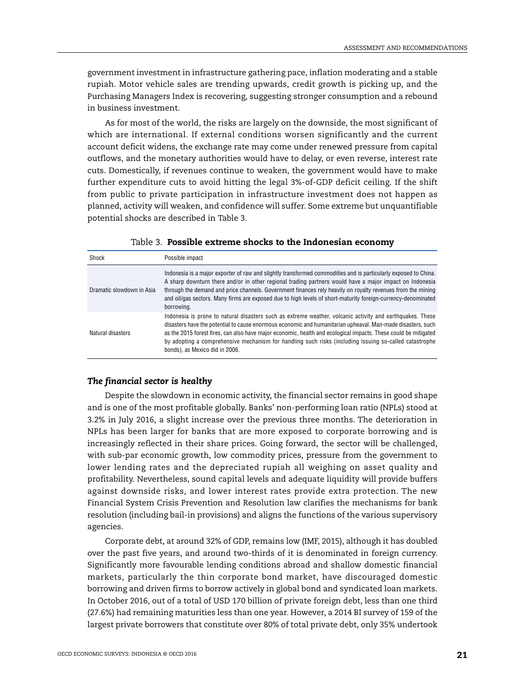government investment in infrastructure gathering pace, inflation moderating and a stable rupiah. Motor vehicle sales are trending upwards, credit growth is picking up, and the Purchasing Managers Index is recovering, suggesting stronger consumption and a rebound in business investment.

As for most of the world, the risks are largely on the downside, the most significant of which are international. If external conditions worsen significantly and the current account deficit widens, the exchange rate may come under renewed pressure from capital outflows, and the monetary authorities would have to delay, or even reverse, interest rate cuts. Domestically, if revenues continue to weaken, the government would have to make further expenditure cuts to avoid hitting the legal 3%-of-GDP deficit ceiling. If the shift from public to private participation in infrastructure investment does not happen as planned, activity will weaken, and confidence will suffer. Some extreme but unquantifiable potential shocks are described in Table 3.

| Shock                     | Possible impact                                                                                                                                                                                                                                                                                                                                                                                                                                                                         |
|---------------------------|-----------------------------------------------------------------------------------------------------------------------------------------------------------------------------------------------------------------------------------------------------------------------------------------------------------------------------------------------------------------------------------------------------------------------------------------------------------------------------------------|
| Dramatic slowdown in Asia | Indonesia is a major exporter of raw and slightly transformed commodities and is particularly exposed to China.<br>A sharp downturn there and/or in other regional trading partners would have a major impact on Indonesia<br>through the demand and price channels. Government finances rely heavily on royalty revenues from the mining<br>and oil/gas sectors. Many firms are exposed due to high levels of short-maturity foreign-currency-denominated<br>borrowing.                |
| Natural disasters         | Indonesia is prone to natural disasters such as extreme weather, volcanic activity and earthquakes. These<br>disasters have the potential to cause enormous economic and humanitarian upheaval. Man-made disasters, such<br>as the 2015 forest fires, can also have major economic, health and ecological impacts. These could be mitigated<br>by adopting a comprehensive mechanism for handling such risks (including issuing so-called catastrophe<br>bonds), as Mexico did in 2006. |

|  | Table 3. Possible extreme shocks to the Indonesian economy |  |  |  |
|--|------------------------------------------------------------|--|--|--|
|--|------------------------------------------------------------|--|--|--|

#### *The financial sector is healthy*

Despite the slowdown in economic activity, the financial sector remains in good shape and is one of the most profitable globally. Banks' non-performing loan ratio (NPLs) stood at 3.2% in July 2016, a slight increase over the previous three months. The deterioration in NPLs has been larger for banks that are more exposed to corporate borrowing and is increasingly reflected in their share prices. Going forward, the sector will be challenged, with sub-par economic growth, low commodity prices, pressure from the government to lower lending rates and the depreciated rupiah all weighing on asset quality and profitability. Nevertheless, sound capital levels and adequate liquidity will provide buffers against downside risks, and lower interest rates provide extra protection. The new Financial System Crisis Prevention and Resolution law clarifies the mechanisms for bank resolution (including bail-in provisions) and aligns the functions of the various supervisory agencies.

Corporate debt, at around 32% of GDP, remains low (IMF, 2015), although it has doubled over the past five years, and around two-thirds of it is denominated in foreign currency. Significantly more favourable lending conditions abroad and shallow domestic financial markets, particularly the thin corporate bond market, have discouraged domestic borrowing and driven firms to borrow actively in global bond and syndicated loan markets. In October 2016, out of a total of USD 170 billion of private foreign debt, less than one third (27.6%) had remaining maturities less than one year. However, a 2014 BI survey of 159 of the largest private borrowers that constitute over 80% of total private debt, only 35% undertook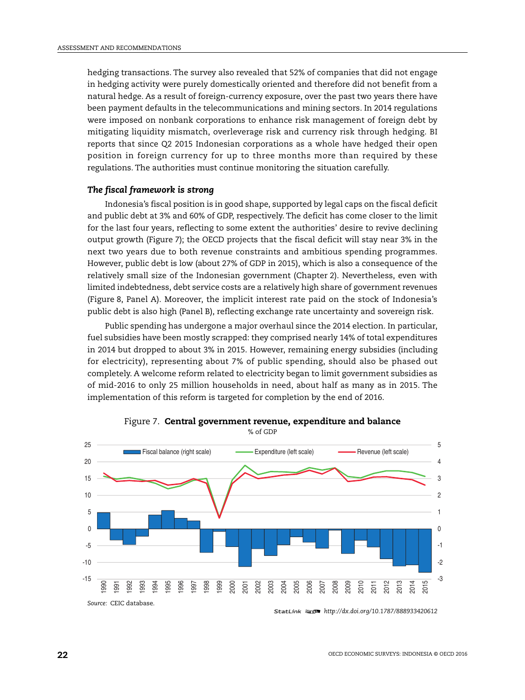hedging transactions. The survey also revealed that 52% of companies that did not engage in hedging activity were purely domestically oriented and therefore did not benefit from a natural hedge. As a result of foreign-currency exposure, over the past two years there have been payment defaults in the telecommunications and mining sectors. In 2014 regulations were imposed on nonbank corporations to enhance risk management of foreign debt by mitigating liquidity mismatch, overleverage risk and currency risk through hedging. BI reports that since Q2 2015 Indonesian corporations as a whole have hedged their open position in foreign currency for up to three months more than required by these regulations. The authorities must continue monitoring the situation carefully.

#### *The fiscal framework is strong*

Indonesia's fiscal position is in good shape, supported by legal caps on the fiscal deficit and public debt at 3% and 60% of GDP, respectively. The deficit has come closer to the limit for the last four years, reflecting to some extent the authorities' desire to revive declining output growth (Figure 7); the OECD projects that the fiscal deficit will stay near 3% in the next two years due to both revenue constraints and ambitious spending programmes. However, public debt is low (about 27% of GDP in 2015), which is also a consequence of the relatively small size of the Indonesian government (Chapter 2). Nevertheless, even with limited indebtedness, debt service costs are a relatively high share of government revenues (Figure 8, Panel A). Moreover, the implicit interest rate paid on the stock of Indonesia's public debt is also high (Panel B), reflecting exchange rate uncertainty and sovereign risk.

Public spending has undergone a major overhaul since the 2014 election. In particular, fuel subsidies have been mostly scrapped: they comprised nearly 14% of total expenditures in 2014 but dropped to about 3% in 2015. However, remaining energy subsidies (including for electricity), representing about 7% of public spending, should also be phased out completely. A welcome reform related to electricity began to limit government subsidies as of mid-2016 to only 25 million households in need, about half as many as in 2015. The implementation of this reform is targeted for completion by the end of 2016.



Figure 7. **Central government revenue, expenditure and balance** % of GDP

1 2 *http://dx.doi.org/10.1787/888933420612*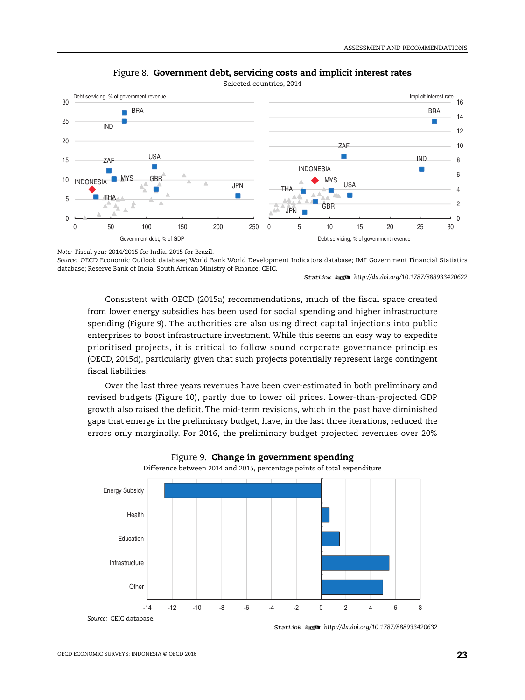

#### Figure 8. **Government debt, servicing costs and implicit interest rates**

Selected countries, 2014

*Note:* Fiscal year 2014/2015 for India. 2015 for Brazil. *Source:* OECD Economic Outlook database; World Bank World Development Indicators database; IMF Government Financial Statistics database; Reserve Bank of India; South African Ministry of Finance; CEIC.

1 2 *http://dx.doi.org/10.1787/888933420622*

Consistent with OECD (2015a) recommendations, much of the fiscal space created from lower energy subsidies has been used for social spending and higher infrastructure spending (Figure 9). The authorities are also using direct capital injections into public enterprises to boost infrastructure investment. While this seems an easy way to expedite prioritised projects, it is critical to follow sound corporate governance principles (OECD, 2015d), particularly given that such projects potentially represent large contingent fiscal liabilities.

Over the last three years revenues have been over-estimated in both preliminary and revised budgets (Figure 10), partly due to lower oil prices. Lower-than-projected GDP growth also raised the deficit. The mid-term revisions, which in the past have diminished gaps that emerge in the preliminary budget, have, in the last three iterations, reduced the errors only marginally. For 2016, the preliminary budget projected revenues over 20%



Figure 9. **Change in government spending**

<sup>1 2</sup> *http://dx.doi.org/10.1787/888933420632*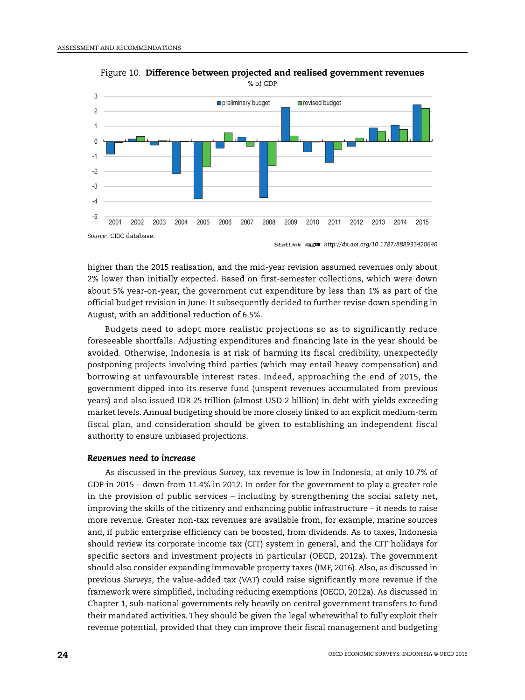

Figure 10. **Difference between projected and realised government revenues** % of GDP

1 2 *http://dx.doi.org/10.1787/888933420640*

higher than the 2015 realisation, and the mid-year revision assumed revenues only about 2% lower than initially expected. Based on first-semester collections, which were down about 5% year-on-year, the government cut expenditure by less than 1% as part of the official budget revision in June. It subsequently decided to further revise down spending in August, with an additional reduction of 6.5%.

Budgets need to adopt more realistic projections so as to significantly reduce foreseeable shortfalls. Adjusting expenditures and financing late in the year should be avoided. Otherwise, Indonesia is at risk of harming its fiscal credibility, unexpectedly postponing projects involving third parties (which may entail heavy compensation) and borrowing at unfavourable interest rates. Indeed, approaching the end of 2015, the government dipped into its reserve fund (unspent revenues accumulated from previous years) and also issued IDR 25 trillion (almost USD 2 billion) in debt with yields exceeding market levels. Annual budgeting should be more closely linked to an explicit medium-term fiscal plan, and consideration should be given to establishing an independent fiscal authority to ensure unbiased projections.

#### *Revenues need to increase*

As discussed in the previous *Survey*, tax revenue is low in Indonesia, at only 10.7% of GDP in 2015 – down from 11.4% in 2012. In order for the government to play a greater role in the provision of public services – including by strengthening the social safety net, improving the skills of the citizenry and enhancing public infrastructure – it needs to raise more revenue. Greater non-tax revenues are available from, for example, marine sources and, if public enterprise efficiency can be boosted, from dividends. As to taxes, Indonesia should review its corporate income tax (CIT) system in general, and the CIT holidays for specific sectors and investment projects in particular (OECD, 2012a). The government should also consider expanding immovable property taxes (IMF, 2016). Also, as discussed in previous *Surveys*, the value-added tax (VAT) could raise significantly more revenue if the framework were simplified, including reducing exemptions (OECD, 2012a). As discussed in Chapter 1, sub-national governments rely heavily on central government transfers to fund their mandated activities. They should be given the legal wherewithal to fully exploit their revenue potential, provided that they can improve their fiscal management and budgeting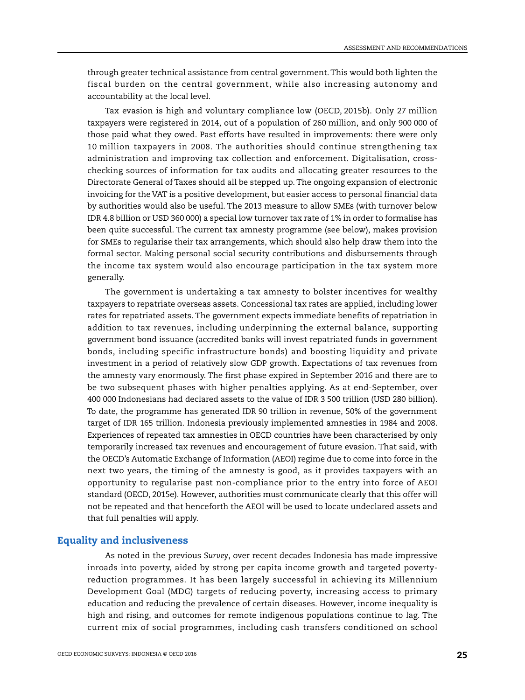through greater technical assistance from central government. This would both lighten the fiscal burden on the central government, while also increasing autonomy and accountability at the local level.

Tax evasion is high and voluntary compliance low (OECD, 2015b). Only 27 million taxpayers were registered in 2014, out of a population of 260 million, and only 900 000 of those paid what they owed. Past efforts have resulted in improvements: there were only 10 million taxpayers in 2008. The authorities should continue strengthening tax administration and improving tax collection and enforcement. Digitalisation, crosschecking sources of information for tax audits and allocating greater resources to the Directorate General of Taxes should all be stepped up. The ongoing expansion of electronic invoicing for the VAT is a positive development, but easier access to personal financial data by authorities would also be useful. The 2013 measure to allow SMEs (with turnover below IDR 4.8 billion or USD 360 000) a special low turnover tax rate of 1% in order to formalise has been quite successful. The current tax amnesty programme (see below), makes provision for SMEs to regularise their tax arrangements, which should also help draw them into the formal sector. Making personal social security contributions and disbursements through the income tax system would also encourage participation in the tax system more generally.

The government is undertaking a tax amnesty to bolster incentives for wealthy taxpayers to repatriate overseas assets. Concessional tax rates are applied, including lower rates for repatriated assets. The government expects immediate benefits of repatriation in addition to tax revenues, including underpinning the external balance, supporting government bond issuance (accredited banks will invest repatriated funds in government bonds, including specific infrastructure bonds) and boosting liquidity and private investment in a period of relatively slow GDP growth. Expectations of tax revenues from the amnesty vary enormously. The first phase expired in September 2016 and there are to be two subsequent phases with higher penalties applying. As at end-September, over 400 000 Indonesians had declared assets to the value of IDR 3 500 trillion (USD 280 billion). To date, the programme has generated IDR 90 trillion in revenue, 50% of the government target of IDR 165 trillion. Indonesia previously implemented amnesties in 1984 and 2008. Experiences of repeated tax amnesties in OECD countries have been characterised by only temporarily increased tax revenues and encouragement of future evasion. That said, with the OECD's Automatic Exchange of Information (AEOI) regime due to come into force in the next two years, the timing of the amnesty is good, as it provides taxpayers with an opportunity to regularise past non-compliance prior to the entry into force of AEOI standard (OECD, 2015e). However, authorities must communicate clearly that this offer will not be repeated and that henceforth the AEOI will be used to locate undeclared assets and that full penalties will apply.

### **Equality and inclusiveness**

As noted in the previous *Survey*, over recent decades Indonesia has made impressive inroads into poverty, aided by strong per capita income growth and targeted povertyreduction programmes. It has been largely successful in achieving its Millennium Development Goal (MDG) targets of reducing poverty, increasing access to primary education and reducing the prevalence of certain diseases. However, income inequality is high and rising, and outcomes for remote indigenous populations continue to lag. The current mix of social programmes, including cash transfers conditioned on school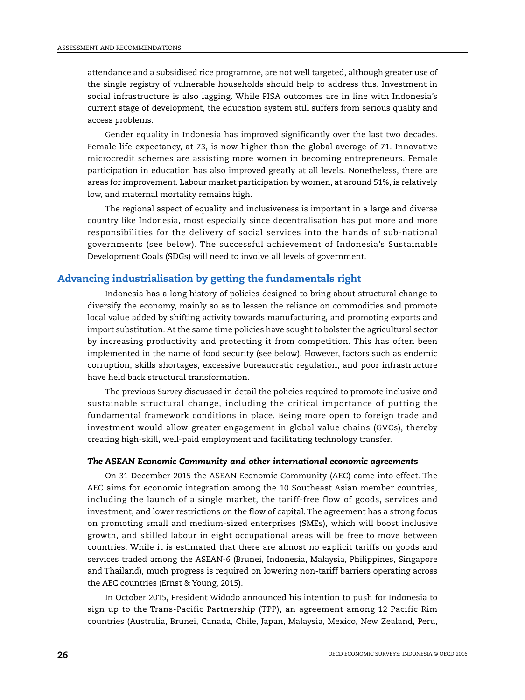attendance and a subsidised rice programme, are not well targeted, although greater use of the single registry of vulnerable households should help to address this. Investment in social infrastructure is also lagging. While PISA outcomes are in line with Indonesia's current stage of development, the education system still suffers from serious quality and access problems.

Gender equality in Indonesia has improved significantly over the last two decades. Female life expectancy, at 73, is now higher than the global average of 71. Innovative microcredit schemes are assisting more women in becoming entrepreneurs. Female participation in education has also improved greatly at all levels. Nonetheless, there are areas for improvement. Labour market participation by women, at around 51%, is relatively low, and maternal mortality remains high.

The regional aspect of equality and inclusiveness is important in a large and diverse country like Indonesia, most especially since decentralisation has put more and more responsibilities for the delivery of social services into the hands of sub-national governments (see below). The successful achievement of Indonesia's Sustainable Development Goals (SDGs) will need to involve all levels of government.

## **Advancing industrialisation by getting the fundamentals right**

Indonesia has a long history of policies designed to bring about structural change to diversify the economy, mainly so as to lessen the reliance on commodities and promote local value added by shifting activity towards manufacturing, and promoting exports and import substitution. At the same time policies have sought to bolster the agricultural sector by increasing productivity and protecting it from competition. This has often been implemented in the name of food security (see below). However, factors such as endemic corruption, skills shortages, excessive bureaucratic regulation, and poor infrastructure have held back structural transformation.

The previous *Survey* discussed in detail the policies required to promote inclusive and sustainable structural change, including the critical importance of putting the fundamental framework conditions in place. Being more open to foreign trade and investment would allow greater engagement in global value chains (GVCs), thereby creating high-skill, well-paid employment and facilitating technology transfer.

#### *The ASEAN Economic Community and other international economic agreements*

On 31 December 2015 the ASEAN Economic Community (AEC) came into effect. The AEC aims for economic integration among the 10 Southeast Asian member countries, including the launch of a single market, the tariff-free flow of goods, services and investment, and lower restrictions on the flow of capital. The agreement has a strong focus on promoting small and medium-sized enterprises (SMEs), which will boost inclusive growth, and skilled labour in eight occupational areas will be free to move between countries. While it is estimated that there are almost no explicit tariffs on goods and services traded among the ASEAN-6 (Brunei, Indonesia, Malaysia, Philippines, Singapore and Thailand), much progress is required on lowering non-tariff barriers operating across the AEC countries (Ernst & Young, 2015).

In October 2015, President Widodo announced his intention to push for Indonesia to sign up to the Trans-Pacific Partnership (TPP), an agreement among 12 Pacific Rim countries (Australia, Brunei, Canada, Chile, Japan, Malaysia, Mexico, New Zealand, Peru,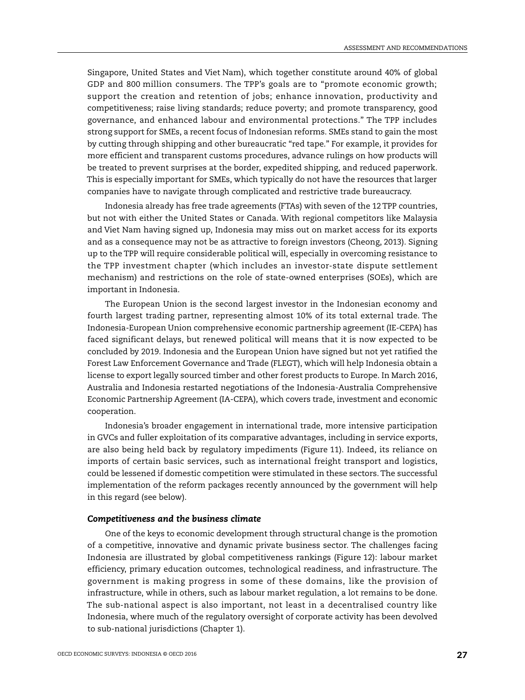Singapore, United States and Viet Nam), which together constitute around 40% of global GDP and 800 million consumers. The TPP's goals are to "promote economic growth; support the creation and retention of jobs; enhance innovation, productivity and competitiveness; raise living standards; reduce poverty; and promote transparency, good governance, and enhanced labour and environmental protections." The TPP includes strong support for SMEs, a recent focus of Indonesian reforms. SMEs stand to gain the most by cutting through shipping and other bureaucratic "red tape." For example, it provides for more efficient and transparent customs procedures, advance rulings on how products will be treated to prevent surprises at the border, expedited shipping, and reduced paperwork. This is especially important for SMEs, which typically do not have the resources that larger companies have to navigate through complicated and restrictive trade bureaucracy.

Indonesia already has free trade agreements (FTAs) with seven of the 12 TPP countries, but not with either the United States or Canada. With regional competitors like Malaysia and Viet Nam having signed up, Indonesia may miss out on market access for its exports and as a consequence may not be as attractive to foreign investors (Cheong, 2013). Signing up to the TPP will require considerable political will, especially in overcoming resistance to the TPP investment chapter (which includes an investor-state dispute settlement mechanism) and restrictions on the role of state-owned enterprises (SOEs), which are important in Indonesia.

The European Union is the second largest investor in the Indonesian economy and fourth largest trading partner, representing almost 10% of its total external trade. The Indonesia-European Union comprehensive economic partnership agreement (IE-CEPA) has faced significant delays, but renewed political will means that it is now expected to be concluded by 2019. Indonesia and the European Union have signed but not yet ratified the Forest Law Enforcement Governance and Trade (FLEGT), which will help Indonesia obtain a license to export legally sourced timber and other forest products to Europe. In March 2016, Australia and Indonesia restarted negotiations of the Indonesia-Australia Comprehensive Economic Partnership Agreement (IA-CEPA), which covers trade, investment and economic cooperation.

Indonesia's broader engagement in international trade, more intensive participation in GVCs and fuller exploitation of its comparative advantages, including in service exports, are also being held back by regulatory impediments (Figure 11). Indeed, its reliance on imports of certain basic services, such as international freight transport and logistics, could be lessened if domestic competition were stimulated in these sectors. The successful implementation of the reform packages recently announced by the government will help in this regard (see below).

#### *Competitiveness and the business climate*

One of the keys to economic development through structural change is the promotion of a competitive, innovative and dynamic private business sector. The challenges facing Indonesia are illustrated by global competitiveness rankings (Figure 12): labour market efficiency, primary education outcomes, technological readiness, and infrastructure. The government is making progress in some of these domains, like the provision of infrastructure, while in others, such as labour market regulation, a lot remains to be done. The sub-national aspect is also important, not least in a decentralised country like Indonesia, where much of the regulatory oversight of corporate activity has been devolved to sub-national jurisdictions (Chapter 1).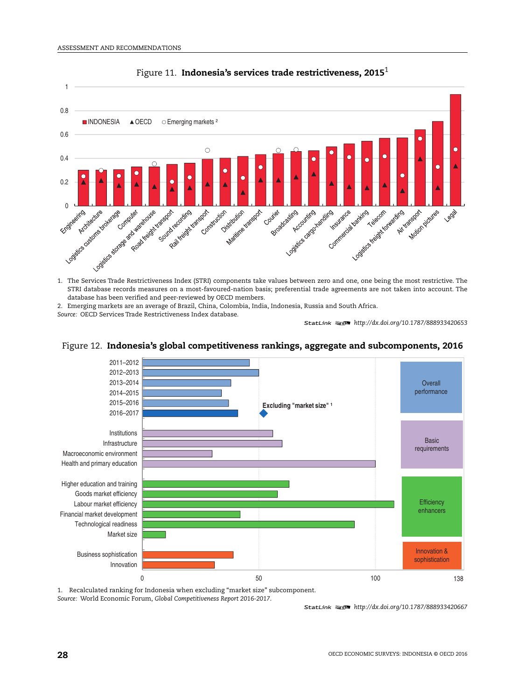



STRI database records measures on a most-favoured-nation basis; preferential trade agreements are not taken into account. The database has been verified and peer-reviewed by OECD members.

2. Emerging markets are an average of Brazil, China, Colombia, India, Indonesia, Russia and South Africa.

*Source:* OECD Services Trade Restrictiveness Index database.

1 2 *http://dx.doi.org/10.1787/888933420653*



#### Figure 12. **Indonesia's global competitiveness rankings, aggregate and subcomponents, 2016**

1. Recalculated ranking for Indonesia when excluding "market size" subcomponent.

*Source:* World Economic Forum, *Global Competitiveness Report 2016-2017*.

1 2 *http://dx.doi.org/10.1787/888933420667*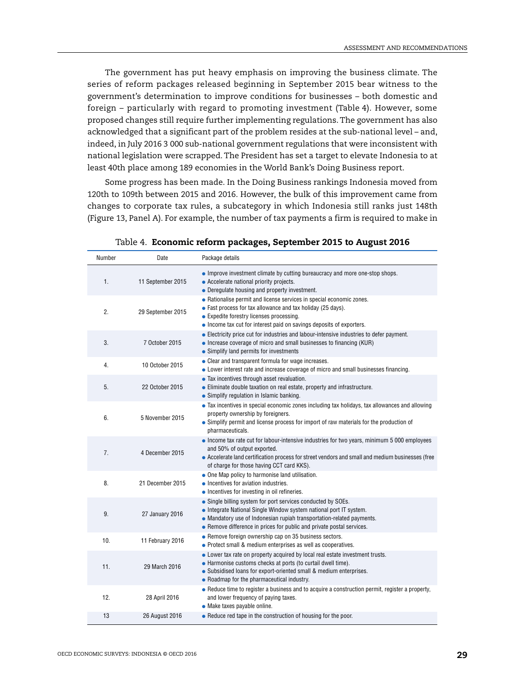The government has put heavy emphasis on improving the business climate. The series of reform packages released beginning in September 2015 bear witness to the government's determination to improve conditions for businesses – both domestic and foreign – particularly with regard to promoting investment (Table 4). However, some proposed changes still require further implementing regulations. The government has also acknowledged that a significant part of the problem resides at the sub-national level – and, indeed, in July 2016 3 000 sub-national government regulations that were inconsistent with national legislation were scrapped. The President has set a target to elevate Indonesia to at least 40th place among 189 economies in the World Bank's Doing Business report.

Some progress has been made. In the Doing Business rankings Indonesia moved from 120th to 109th between 2015 and 2016. However, the bulk of this improvement came from changes to corporate tax rules, a subcategory in which Indonesia still ranks just 148th (Figure 13, Panel A). For example, the number of tax payments a firm is required to make in

| Number | Date              | Package details                                                                                                                                                                                                                                                                      |
|--------|-------------------|--------------------------------------------------------------------------------------------------------------------------------------------------------------------------------------------------------------------------------------------------------------------------------------|
| 1.     | 11 September 2015 | • Improve investment climate by cutting bureaucracy and more one-stop shops.<br>• Accelerate national priority projects.<br>• Deregulate housing and property investment.                                                                                                            |
| 2.     | 29 September 2015 | • Rationalise permit and license services in special economic zones.<br>• Fast process for tax allowance and tax holiday (25 days).<br>• Expedite forestry licenses processing.<br>• Income tax cut for interest paid on savings deposits of exporters.                              |
| 3.     | 7 October 2015    | • Electricity price cut for industries and labour-intensive industries to defer payment.<br>• Increase coverage of micro and small businesses to financing (KUR)<br>• Simplify land permits for investments                                                                          |
| 4.     | 10 October 2015   | • Clear and transparent formula for wage increases.<br>• Lower interest rate and increase coverage of micro and small businesses financing.                                                                                                                                          |
| 5.     | 22 October 2015   | • Tax incentives through asset revaluation.<br>• Eliminate double taxation on real estate, property and infrastructure.<br>• Simplify regulation in Islamic banking.                                                                                                                 |
| 6.     | 5 November 2015   | • Tax incentives in special economic zones including tax holidays, tax allowances and allowing<br>property ownership by foreigners.<br>• Simplify permit and license process for import of raw materials for the production of<br>pharmaceuticals.                                   |
| 7.     | 4 December 2015   | • Income tax rate cut for labour-intensive industries for two years, minimum 5 000 employees<br>and 50% of output exported.<br>• Accelerate land certification process for street vendors and small and medium businesses (free<br>of charge for those having CCT card KKS).         |
| 8.     | 21 December 2015  | • One Map policy to harmonise land utilisation.<br>• Incentives for aviation industries.<br>• Incentives for investing in oil refineries.                                                                                                                                            |
| 9.     | 27 January 2016   | • Single billing system for port services conducted by SOEs.<br>• Integrate National Single Window system national port IT system.<br>• Mandatory use of Indonesian rupiah transportation-related payments.<br>• Remove difference in prices for public and private postal services. |
| 10.    | 11 February 2016  | • Remove foreign ownership cap on 35 business sectors.<br>• Protect small & medium enterprises as well as cooperatives.                                                                                                                                                              |
| 11.    | 29 March 2016     | • Lower tax rate on property acquired by local real estate investment trusts.<br>• Harmonise customs checks at ports (to curtail dwell time).<br>• Subsidised loans for export-oriented small & medium enterprises.<br>• Roadmap for the pharmaceutical industry.                    |
| 12.    | 28 April 2016     | • Reduce time to register a business and to acquire a construction permit, register a property,<br>and lower frequency of paying taxes.<br>• Make taxes payable online.                                                                                                              |
| 13     | 26 August 2016    | • Reduce red tape in the construction of housing for the poor.                                                                                                                                                                                                                       |

Table 4. **Economic reform packages, September 2015 to August 2016**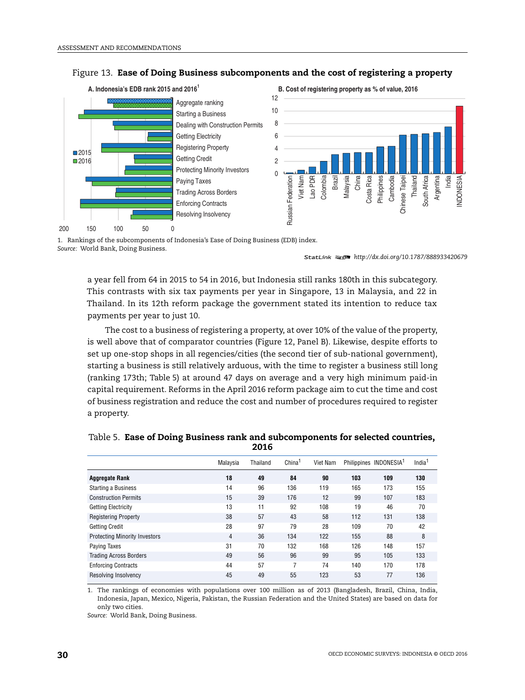



1. Rankings of the subcomponents of Indonesia's Ease of Doing Business (EDB) index. *Source:* World Bank, Doing Business.

1 2 *http://dx.doi.org/10.1787/888933420679*

a year fell from 64 in 2015 to 54 in 2016, but Indonesia still ranks 180th in this subcategory. This contrasts with six tax payments per year in Singapore, 13 in Malaysia, and 22 in Thailand. In its 12th reform package the government stated its intention to reduce tax payments per year to just 10.

The cost to a business of registering a property, at over 10% of the value of the property, is well above that of comparator countries (Figure 12, Panel B). Likewise, despite efforts to set up one-stop shops in all regencies/cities (the second tier of sub-national government), starting a business is still relatively arduous, with the time to register a business still long (ranking 173th; Table 5) at around 47 days on average and a very high minimum paid-in capital requirement. Reforms in the April 2016 reform package aim to cut the time and cost of business registration and reduce the cost and number of procedures required to register a property.

| Table 5. Ease of Doing Business rank and subcomponents for selected countries,<br>2016 |  |
|----------------------------------------------------------------------------------------|--|
|                                                                                        |  |

|                                      | Malaysia | Thailand | China <sup>1</sup> | Viet Nam |     | Philippines INDONESIA <sup>1</sup> | India <sup>1</sup> |
|--------------------------------------|----------|----------|--------------------|----------|-----|------------------------------------|--------------------|
| <b>Aggregate Rank</b>                | 18       | 49       | 84                 | 90       | 103 | 109                                | 130                |
| <b>Starting a Business</b>           | 14       | 96       | 136                | 119      | 165 | 173                                | 155                |
| <b>Construction Permits</b>          | 15       | 39       | 176                | 12       | 99  | 107                                | 183                |
| <b>Getting Electricity</b>           | 13       | 11       | 92                 | 108      | 19  | 46                                 | 70                 |
| <b>Registering Property</b>          | 38       | 57       | 43                 | 58       | 112 | 131                                | 138                |
| <b>Getting Credit</b>                | 28       | 97       | 79                 | 28       | 109 | 70                                 | 42                 |
| <b>Protecting Minority Investors</b> | 4        | 36       | 134                | 122      | 155 | 88                                 | 8                  |
| Paying Taxes                         | 31       | 70       | 132                | 168      | 126 | 148                                | 157                |
| <b>Trading Across Borders</b>        | 49       | 56       | 96                 | 99       | 95  | 105                                | 133                |
| <b>Enforcing Contracts</b>           | 44       | 57       | 7                  | 74       | 140 | 170                                | 178                |
| Resolving Insolvency                 | 45       | 49       | 55                 | 123      | 53  | 77                                 | 136                |

1. The rankings of economies with populations over 100 million as of 2013 (Bangladesh, Brazil, China, India, Indonesia, Japan, Mexico, Nigeria, Pakistan, the Russian Federation and the United States) are based on data for only two cities.

*Source:* World Bank, Doing Business.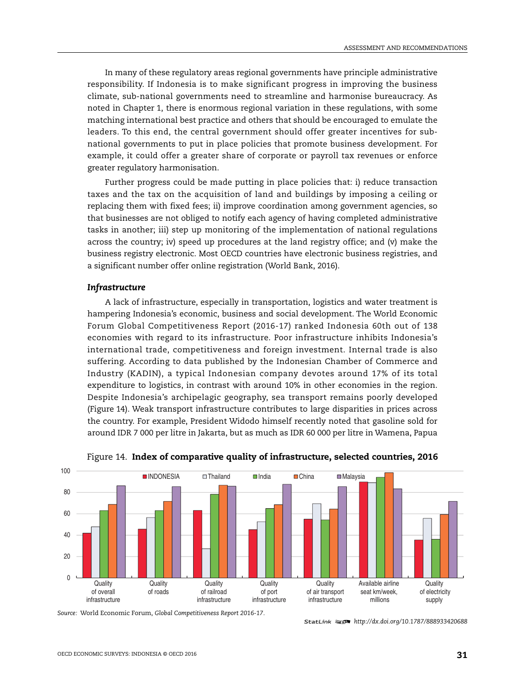In many of these regulatory areas regional governments have principle administrative responsibility. If Indonesia is to make significant progress in improving the business climate, sub-national governments need to streamline and harmonise bureaucracy. As noted in Chapter 1, there is enormous regional variation in these regulations, with some matching international best practice and others that should be encouraged to emulate the leaders. To this end, the central government should offer greater incentives for subnational governments to put in place policies that promote business development. For example, it could offer a greater share of corporate or payroll tax revenues or enforce greater regulatory harmonisation.

Further progress could be made putting in place policies that: i) reduce transaction taxes and the tax on the acquisition of land and buildings by imposing a ceiling or replacing them with fixed fees; ii) improve coordination among government agencies, so that businesses are not obliged to notify each agency of having completed administrative tasks in another; iii) step up monitoring of the implementation of national regulations across the country; iv) speed up procedures at the land registry office; and (v) make the business registry electronic. Most OECD countries have electronic business registries, and a significant number offer online registration (World Bank, 2016).

#### *Infrastructure*

A lack of infrastructure, especially in transportation, logistics and water treatment is hampering Indonesia's economic, business and social development. The World Economic Forum Global Competitiveness Report (2016-17) ranked Indonesia 60th out of 138 economies with regard to its infrastructure. Poor infrastructure inhibits Indonesia's international trade, competitiveness and foreign investment. Internal trade is also suffering. According to data published by the Indonesian Chamber of Commerce and Industry (KADIN), a typical Indonesian company devotes around 17% of its total expenditure to logistics, in contrast with around 10% in other economies in the region. Despite Indonesia's archipelagic geography, sea transport remains poorly developed (Figure 14). Weak transport infrastructure contributes to large disparities in prices across the country. For example, President Widodo himself recently noted that gasoline sold for around IDR 7 000 per litre in Jakarta, but as much as IDR 60 000 per litre in Wamena, Papua



#### Figure 14. **Index of comparative quality of infrastructure, selected countries, 2016**

*Source:* World Economic Forum, *Global Competitiveness Report 2016-17.*

<sup>1 2</sup> *http://dx.doi.org/10.1787/888933420688*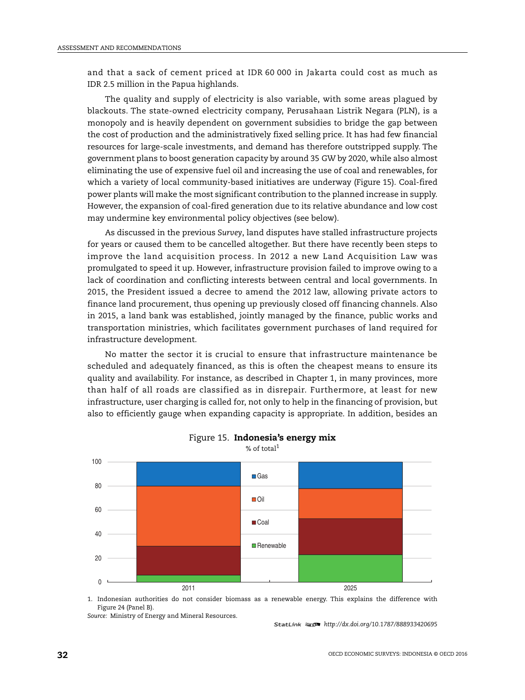and that a sack of cement priced at IDR 60 000 in Jakarta could cost as much as IDR 2.5 million in the Papua highlands.

The quality and supply of electricity is also variable, with some areas plagued by blackouts. The state-owned electricity company, Perusahaan Listrik Negara (PLN), is a monopoly and is heavily dependent on government subsidies to bridge the gap between the cost of production and the administratively fixed selling price. It has had few financial resources for large-scale investments, and demand has therefore outstripped supply. The government plans to boost generation capacity by around 35 GW by 2020, while also almost eliminating the use of expensive fuel oil and increasing the use of coal and renewables, for which a variety of local community-based initiatives are underway (Figure 15). Coal-fired power plants will make the most significant contribution to the planned increase in supply. However, the expansion of coal-fired generation due to its relative abundance and low cost may undermine key environmental policy objectives (see below).

As discussed in the previous *Survey*, land disputes have stalled infrastructure projects for years or caused them to be cancelled altogether. But there have recently been steps to improve the land acquisition process. In 2012 a new Land Acquisition Law was promulgated to speed it up. However, infrastructure provision failed to improve owing to a lack of coordination and conflicting interests between central and local governments. In 2015, the President issued a decree to amend the 2012 law, allowing private actors to finance land procurement, thus opening up previously closed off financing channels. Also in 2015, a land bank was established, jointly managed by the finance, public works and transportation ministries, which facilitates government purchases of land required for infrastructure development.

No matter the sector it is crucial to ensure that infrastructure maintenance be scheduled and adequately financed, as this is often the cheapest means to ensure its quality and availability. For instance, as described in Chapter 1, in many provinces, more than half of all roads are classified as in disrepair. Furthermore, at least for new infrastructure, user charging is called for, not only to help in the financing of provision, but also to efficiently gauge when expanding capacity is appropriate. In addition, besides an



Figure 15. **Indonesia's energy mix** % of total $1$ 

1. Indonesian authorities do not consider biomass as a renewable energy. This explains the difference with Figure 24 (Panel B).

*Source:* Ministry of Energy and Mineral Resources.

1 2 *http://dx.doi.org/10.1787/888933420695*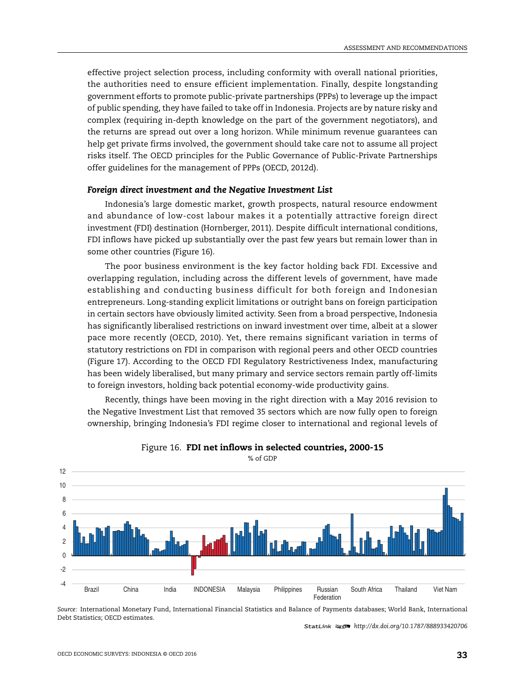effective project selection process, including conformity with overall national priorities, the authorities need to ensure efficient implementation. Finally, despite longstanding government efforts to promote public-private partnerships (PPPs) to leverage up the impact of public spending, they have failed to take off in Indonesia. Projects are by nature risky and complex (requiring in-depth knowledge on the part of the government negotiators), and the returns are spread out over a long horizon. While minimum revenue guarantees can help get private firms involved, the government should take care not to assume all project risks itself. The OECD principles for the Public Governance of Public-Private Partnerships offer guidelines for the management of PPPs (OECD, 2012d).

#### *Foreign direct investment and the Negative Investment List*

Indonesia's large domestic market, growth prospects, natural resource endowment and abundance of low-cost labour makes it a potentially attractive foreign direct investment (FDI) destination (Hornberger, 2011). Despite difficult international conditions, FDI inflows have picked up substantially over the past few years but remain lower than in some other countries (Figure 16).

The poor business environment is the key factor holding back FDI. Excessive and overlapping regulation, including across the different levels of government, have made establishing and conducting business difficult for both foreign and Indonesian entrepreneurs. Long-standing explicit limitations or outright bans on foreign participation in certain sectors have obviously limited activity. Seen from a broad perspective, Indonesia has significantly liberalised restrictions on inward investment over time, albeit at a slower pace more recently (OECD, 2010). Yet, there remains significant variation in terms of statutory restrictions on FDI in comparison with regional peers and other OECD countries (Figure 17). According to the OECD FDI Regulatory Restrictiveness Index, manufacturing has been widely liberalised, but many primary and service sectors remain partly off-limits to foreign investors, holding back potential economy-wide productivity gains.

Recently, things have been moving in the right direction with a May 2016 revision to the Negative Investment List that removed 35 sectors which are now fully open to foreign ownership, bringing Indonesia's FDI regime closer to international and regional levels of



Figure 16. **FDI net inflows in selected countries, 2000-15**

% of GDP

*Source:* International Monetary Fund, International Financial Statistics and Balance of Payments databases; World Bank, International Debt Statistics; OECD estimates.

1 2 *http://dx.doi.org/10.1787/888933420706*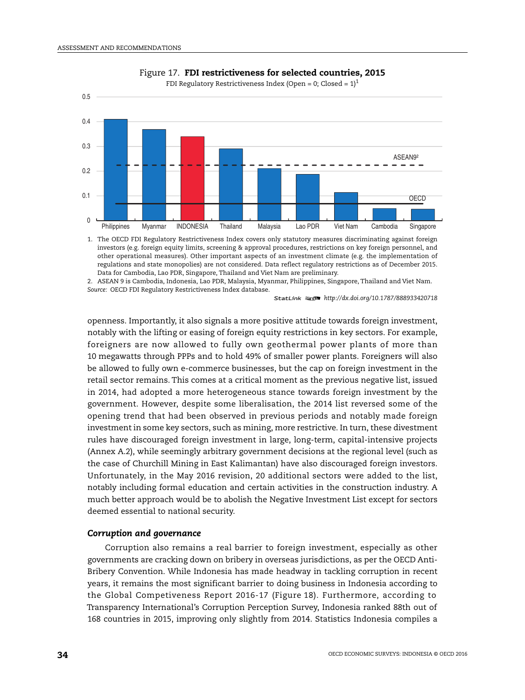



FDI Regulatory Restrictiveness Index (Open = 0; Closed =  $1$ )<sup>1</sup>

1. The OECD FDI Regulatory Restrictiveness Index covers only statutory measures discriminating against foreign investors (e.g. foreign equity limits, screening & approval procedures, restrictions on key foreign personnel, and other operational measures). Other important aspects of an investment climate (e.g. the implementation of regulations and state monopolies) are not considered. Data reflect regulatory restrictions as of December 2015. Data for Cambodia, Lao PDR, Singapore, Thailand and Viet Nam are preliminary.

2. ASEAN 9 is Cambodia, Indonesia, Lao PDR, Malaysia, Myanmar, Philippines, Singapore, Thailand and Viet Nam.

*Source:* OECD FDI Regulatory Restrictiveness Index database. 1 2 *http://dx.doi.org/10.1787/888933420718*

openness. Importantly, it also signals a more positive attitude towards foreign investment, notably with the lifting or easing of foreign equity restrictions in key sectors. For example, foreigners are now allowed to fully own geothermal power plants of more than 10 megawatts through PPPs and to hold 49% of smaller power plants. Foreigners will also be allowed to fully own e-commerce businesses, but the cap on foreign investment in the retail sector remains. This comes at a critical moment as the previous negative list, issued in 2014, had adopted a more heterogeneous stance towards foreign investment by the government. However, despite some liberalisation, the 2014 list reversed some of the opening trend that had been observed in previous periods and notably made foreign investment in some key sectors, such as mining, more restrictive. In turn, these divestment rules have discouraged foreign investment in large, long-term, capital-intensive projects (Annex A.2), while seemingly arbitrary government decisions at the regional level (such as the case of Churchill Mining in East Kalimantan) have also discouraged foreign investors. Unfortunately, in the May 2016 revision, 20 additional sectors were added to the list, notably including formal education and certain activities in the construction industry. A much better approach would be to abolish the Negative Investment List except for sectors deemed essential to national security.

#### *Corruption and governance*

Corruption also remains a real barrier to foreign investment, especially as other governments are cracking down on bribery in overseas jurisdictions, as per the OECD Anti-Bribery Convention. While Indonesia has made headway in tackling corruption in recent years, it remains the most significant barrier to doing business in Indonesia according to the Global Competiveness Report 2016-17 (Figure 18). Furthermore, according to Transparency International's Corruption Perception Survey, Indonesia ranked 88th out of 168 countries in 2015, improving only slightly from 2014. Statistics Indonesia compiles a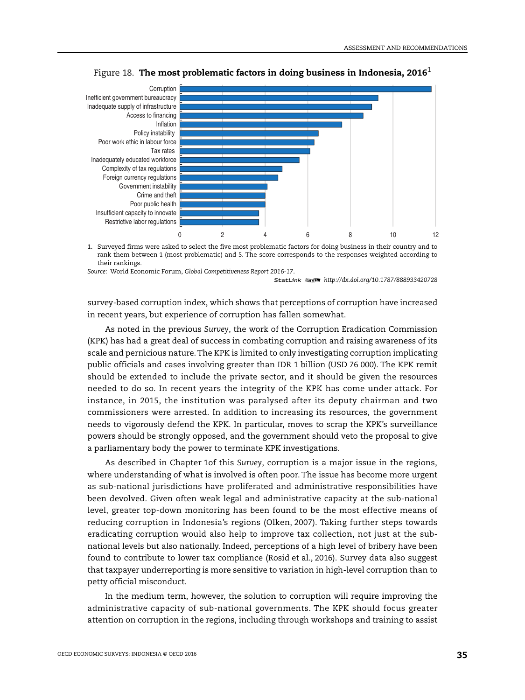

Figure 18. **The most problematic factors in doing business in Indonesia, 2016**<sup>1</sup>

1. Surveyed firms were asked to select the five most problematic factors for doing business in their country and to rank them between 1 (most problematic) and 5. The score corresponds to the responses weighted according to their rankings.

*Source:* World Economic Forum, *Global Competitiveness Report 2016-17* .

1 2 *http://dx.doi.org/10.1787/888933420728*

survey-based corruption index, which shows that perceptions of corruption have increased in recent years, but experience of corruption has fallen somewhat.

As noted in the previous *Survey*, the work of the Corruption Eradication Commission (KPK) has had a great deal of success in combating corruption and raising awareness of its scale and pernicious nature. The KPK is limited to only investigating corruption implicating public officials and cases involving greater than IDR 1 billion (USD 76 000). The KPK remit should be extended to include the private sector, and it should be given the resources needed to do so. In recent years the integrity of the KPK has come under attack. For instance, in 2015, the institution was paralysed after its deputy chairman and two commissioners were arrested. In addition to increasing its resources, the government needs to vigorously defend the KPK. In particular, moves to scrap the KPK's surveillance powers should be strongly opposed, and the government should veto the proposal to give a parliamentary body the power to terminate KPK investigations.

As described in Chapter 1of this *Survey*, corruption is a major issue in the regions, where understanding of what is involved is often poor. The issue has become more urgent as sub-national jurisdictions have proliferated and administrative responsibilities have been devolved. Given often weak legal and administrative capacity at the sub-national level, greater top-down monitoring has been found to be the most effective means of reducing corruption in Indonesia's regions (Olken, 2007). Taking further steps towards eradicating corruption would also help to improve tax collection, not just at the subnational levels but also nationally. Indeed, perceptions of a high level of bribery have been found to contribute to lower tax compliance (Rosid et al*.*, 2016). Survey data also suggest that taxpayer underreporting is more sensitive to variation in high-level corruption than to petty official misconduct.

In the medium term, however, the solution to corruption will require improving the administrative capacity of sub-national governments. The KPK should focus greater attention on corruption in the regions, including through workshops and training to assist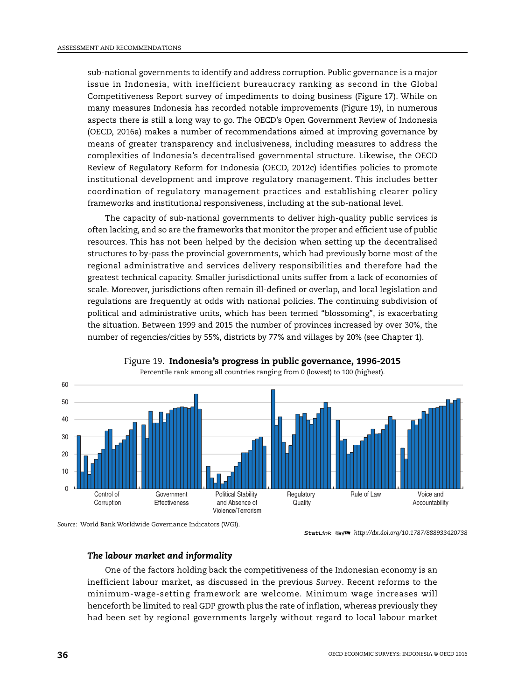sub-national governments to identify and address corruption. Public governance is a major issue in Indonesia, with inefficient bureaucracy ranking as second in the Global Competitiveness Report survey of impediments to doing business (Figure 17). While on many measures Indonesia has recorded notable improvements (Figure 19), in numerous aspects there is still a long way to go. The OECD's Open Government Review of Indonesia (OECD, 2016a) makes a number of recommendations aimed at improving governance by means of greater transparency and inclusiveness, including measures to address the complexities of Indonesia's decentralised governmental structure. Likewise, the OECD Review of Regulatory Reform for Indonesia (OECD, 2012c) identifies policies to promote institutional development and improve regulatory management. This includes better coordination of regulatory management practices and establishing clearer policy frameworks and institutional responsiveness, including at the sub-national level.

The capacity of sub-national governments to deliver high-quality public services is often lacking, and so are the frameworks that monitor the proper and efficient use of public resources. This has not been helped by the decision when setting up the decentralised structures to by-pass the provincial governments, which had previously borne most of the regional administrative and services delivery responsibilities and therefore had the greatest technical capacity. Smaller jurisdictional units suffer from a lack of economies of scale. Moreover, jurisdictions often remain ill-defined or overlap, and local legislation and regulations are frequently at odds with national policies. The continuing subdivision of political and administrative units, which has been termed "blossoming", is exacerbating the situation. Between 1999 and 2015 the number of provinces increased by over 30%, the number of regencies/cities by 55%, districts by 77% and villages by 20% (see Chapter 1).



Figure 19. **Indonesia's progress in public governance, 1996-2015**

*Source:* World Bank Worldwide Governance Indicators (WGI).

1 2 *http://dx.doi.org/10.1787/888933420738*

#### *The labour market and informality*

One of the factors holding back the competitiveness of the Indonesian economy is an inefficient labour market, as discussed in the previous *Survey*. Recent reforms to the minimum-wage-setting framework are welcome. Minimum wage increases will henceforth be limited to real GDP growth plus the rate of inflation, whereas previously they had been set by regional governments largely without regard to local labour market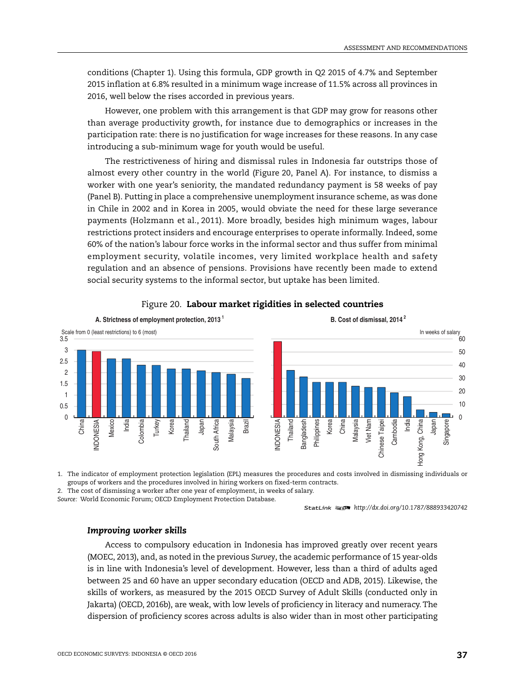conditions (Chapter 1). Using this formula, GDP growth in Q2 2015 of 4.7% and September 2015 inflation at 6.8% resulted in a minimum wage increase of 11.5% across all provinces in 2016, well below the rises accorded in previous years.

However, one problem with this arrangement is that GDP may grow for reasons other than average productivity growth, for instance due to demographics or increases in the participation rate: there is no justification for wage increases for these reasons. In any case introducing a sub-minimum wage for youth would be useful.

The restrictiveness of hiring and dismissal rules in Indonesia far outstrips those of almost every other country in the world (Figure 20, Panel A). For instance, to dismiss a worker with one year's seniority, the mandated redundancy payment is 58 weeks of pay (Panel B). Putting in place a comprehensive unemployment insurance scheme, as was done in Chile in 2002 and in Korea in 2005, would obviate the need for these large severance payments (Holzmann et al., 2011). More broadly, besides high minimum wages, labour restrictions protect insiders and encourage enterprises to operate informally. Indeed, some 60% of the nation's labour force works in the informal sector and thus suffer from minimal employment security, volatile incomes, very limited workplace health and safety regulation and an absence of pensions. Provisions have recently been made to extend social security systems to the informal sector, but uptake has been limited.



#### Figure 20. **Labour market rigidities in selected countries**

1. The indicator of employment protection legislation (EPL) measures the procedures and costs involved in dismissing individuals or groups of workers and the procedures involved in hiring workers on fixed-term contracts.

2. The cost of dismissing a worker after one year of employment, in weeks of salary.

*Source:* World Economic Forum; OECD Employment Protection Database.

1 2 *http://dx.doi.org/10.1787/888933420742*

#### *Improving worker skills*

Access to compulsory education in Indonesia has improved greatly over recent years (MOEC, 2013), and, as noted in the previous *Survey*, the academic performance of 15 year-olds is in line with Indonesia's level of development. However, less than a third of adults aged between 25 and 60 have an upper secondary education (OECD and ADB, 2015). Likewise, the skills of workers, as measured by the 2015 OECD Survey of Adult Skills (conducted only in Jakarta) (OECD, 2016b), are weak, with low levels of proficiency in literacy and numeracy. The dispersion of proficiency scores across adults is also wider than in most other participating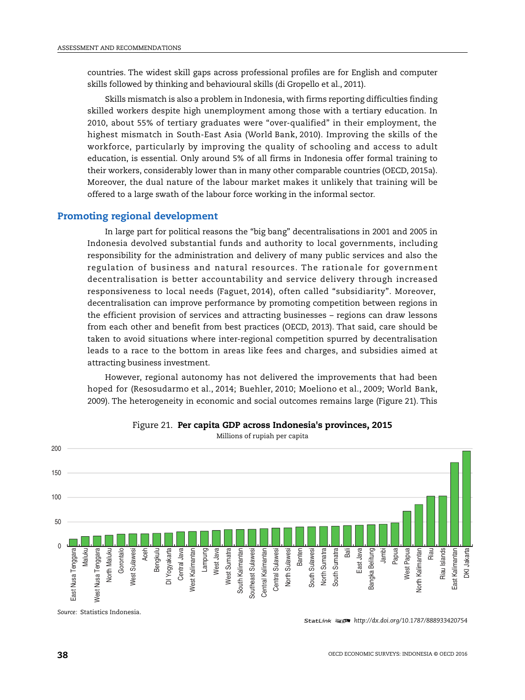countries. The widest skill gaps across professional profiles are for English and computer skills followed by thinking and behavioural skills (di Gropello et al., 2011).

Skills mismatch is also a problem in Indonesia, with firms reporting difficulties finding skilled workers despite high unemployment among those with a tertiary education. In 2010, about 55% of tertiary graduates were "over-qualified" in their employment, the highest mismatch in South-East Asia (World Bank, 2010). Improving the skills of the workforce, particularly by improving the quality of schooling and access to adult education, is essential. Only around 5% of all firms in Indonesia offer formal training to their workers, considerably lower than in many other comparable countries (OECD, 2015a). Moreover, the dual nature of the labour market makes it unlikely that training will be offered to a large swath of the labour force working in the informal sector.

## **Promoting regional development**

In large part for political reasons the "big bang" decentralisations in 2001 and 2005 in Indonesia devolved substantial funds and authority to local governments, including responsibility for the administration and delivery of many public services and also the regulation of business and natural resources. The rationale for government decentralisation is better accountability and service delivery through increased responsiveness to local needs (Faguet, 2014), often called "subsidiarity". Moreover, decentralisation can improve performance by promoting competition between regions in the efficient provision of services and attracting businesses – regions can draw lessons from each other and benefit from best practices (OECD, 2013). That said, care should be taken to avoid situations where inter-regional competition spurred by decentralisation leads to a race to the bottom in areas like fees and charges, and subsidies aimed at attracting business investment.

However, regional autonomy has not delivered the improvements that had been hoped for (Resosudarmo et al., 2014; Buehler, 2010; Moeliono et al., 2009; World Bank, 2009). The heterogeneity in economic and social outcomes remains large (Figure 21). This



Figure 21. **Per capita GDP across Indonesia's provinces, 2015**

Millions of rupiah per capita

*Source:* Statistics Indonesia.

1 2 *http://dx.doi.org/10.1787/888933420754*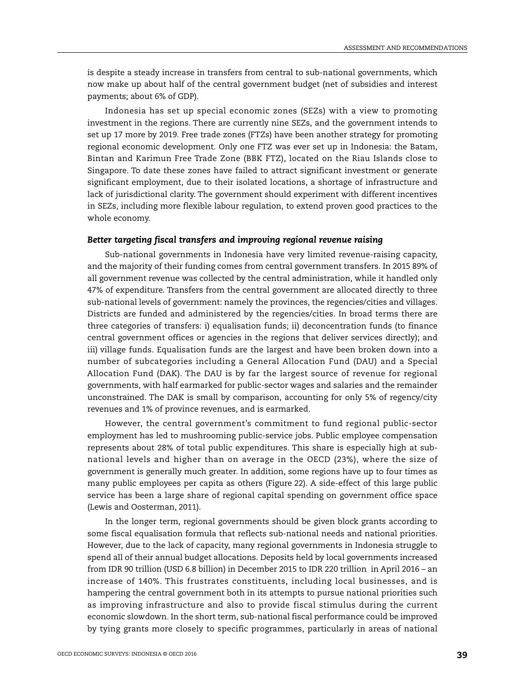is despite a steady increase in transfers from central to sub-national governments, which now make up about half of the central government budget (net of subsidies and interest payments; about 6% of GDP).

Indonesia has set up special economic zones (SEZs) with a view to promoting investment in the regions. There are currently nine SEZs, and the government intends to set up 17 more by 2019. Free trade zones (FTZs) have been another strategy for promoting regional economic development. Only one FTZ was ever set up in Indonesia: the Batam, Bintan and Karimun Free Trade Zone (BBK FTZ), located on the Riau Islands close to Singapore. To date these zones have failed to attract significant investment or generate significant employment, due to their isolated locations, a shortage of infrastructure and lack of jurisdictional clarity. The government should experiment with different incentives in SEZs, including more flexible labour regulation, to extend proven good practices to the whole economy.

#### *Better targeting fiscal transfers and improving regional revenue raising*

Sub-national governments in Indonesia have very limited revenue-raising capacity, and the majority of their funding comes from central government transfers. In 2015 89% of all government revenue was collected by the central administration, while it handled only 47% of expenditure. Transfers from the central government are allocated directly to three sub-national levels of government: namely the provinces, the regencies/cities and villages. Districts are funded and administered by the regencies/cities. In broad terms there are three categories of transfers: i) equalisation funds; ii) deconcentration funds (to finance central government offices or agencies in the regions that deliver services directly); and iii) village funds. Equalisation funds are the largest and have been broken down into a number of subcategories including a General Allocation Fund (DAU) and a Special Allocation Fund (DAK). The DAU is by far the largest source of revenue for regional governments, with half earmarked for public-sector wages and salaries and the remainder unconstrained. The DAK is small by comparison, accounting for only 5% of regency/city revenues and 1% of province revenues, and is earmarked.

However, the central government's commitment to fund regional public-sector employment has led to mushrooming public-service jobs. Public employee compensation represents about 28% of total public expenditures. This share is especially high at subnational levels and higher than on average in the OECD (23%), where the size of government is generally much greater. In addition, some regions have up to four times as many public employees per capita as others (Figure 22). A side-effect of this large public service has been a large share of regional capital spending on government office space (Lewis and Oosterman, 2011).

In the longer term, regional governments should be given block grants according to some fiscal equalisation formula that reflects sub-national needs and national priorities. However, due to the lack of capacity, many regional governments in Indonesia struggle to spend all of their annual budget allocations. Deposits held by local governments increased from IDR 90 trillion (USD 6.8 billion) in December 2015 to IDR 220 trillion in April 2016 – an increase of 140%. This frustrates constituents, including local businesses, and is hampering the central government both in its attempts to pursue national priorities such as improving infrastructure and also to provide fiscal stimulus during the current economic slowdown. In the short term, sub-national fiscal performance could be improved by tying grants more closely to specific programmes, particularly in areas of national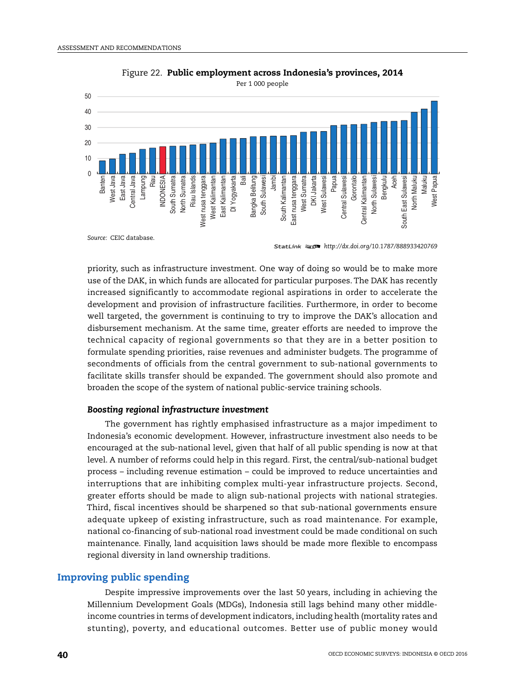

Figure 22. **Public employment across Indonesia's provinces, 2014**

1 2 *http://dx.doi.org/10.1787/888933420769*

priority, such as infrastructure investment. One way of doing so would be to make more use of the DAK, in which funds are allocated for particular purposes. The DAK has recently increased significantly to accommodate regional aspirations in order to accelerate the development and provision of infrastructure facilities. Furthermore, in order to become well targeted, the government is continuing to try to improve the DAK's allocation and disbursement mechanism. At the same time, greater efforts are needed to improve the technical capacity of regional governments so that they are in a better position to formulate spending priorities, raise revenues and administer budgets. The programme of secondments of officials from the central government to sub-national governments to facilitate skills transfer should be expanded. The government should also promote and broaden the scope of the system of national public-service training schools.

#### *Boosting regional infrastructure investment*

The government has rightly emphasised infrastructure as a major impediment to Indonesia's economic development. However, infrastructure investment also needs to be encouraged at the sub-national level, given that half of all public spending is now at that level. A number of reforms could help in this regard. First, the central/sub-national budget process – including revenue estimation – could be improved to reduce uncertainties and interruptions that are inhibiting complex multi-year infrastructure projects. Second, greater efforts should be made to align sub-national projects with national strategies. Third, fiscal incentives should be sharpened so that sub-national governments ensure adequate upkeep of existing infrastructure, such as road maintenance. For example, national co-financing of sub-national road investment could be made conditional on such maintenance. Finally, land acquisition laws should be made more flexible to encompass regional diversity in land ownership traditions.

## **Improving public spending**

Despite impressive improvements over the last 50 years, including in achieving the Millennium Development Goals (MDGs), Indonesia still lags behind many other middleincome countries in terms of development indicators, including health (mortality rates and stunting), poverty, and educational outcomes. Better use of public money would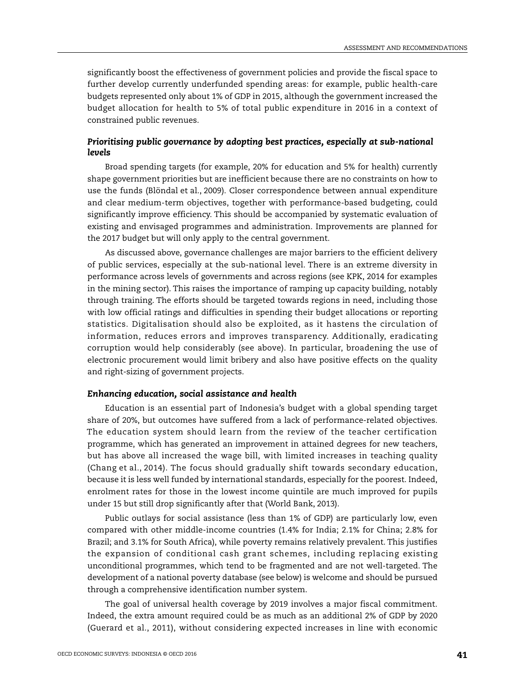significantly boost the effectiveness of government policies and provide the fiscal space to further develop currently underfunded spending areas: for example, public health-care budgets represented only about 1% of GDP in 2015, although the government increased the budget allocation for health to 5% of total public expenditure in 2016 in a context of constrained public revenues.

#### *Prioritising public governance by adopting best practices, especially at sub-national levels*

Broad spending targets (for example, 20% for education and 5% for health) currently shape government priorities but are inefficient because there are no constraints on how to use the funds (Blöndal et al., 2009). Closer correspondence between annual expenditure and clear medium-term objectives, together with performance-based budgeting, could significantly improve efficiency. This should be accompanied by systematic evaluation of existing and envisaged programmes and administration. Improvements are planned for the 2017 budget but will only apply to the central government.

As discussed above, governance challenges are major barriers to the efficient delivery of public services, especially at the sub-national level. There is an extreme diversity in performance across levels of governments and across regions (see KPK, 2014 for examples in the mining sector). This raises the importance of ramping up capacity building, notably through training. The efforts should be targeted towards regions in need, including those with low official ratings and difficulties in spending their budget allocations or reporting statistics. Digitalisation should also be exploited, as it hastens the circulation of information, reduces errors and improves transparency. Additionally, eradicating corruption would help considerably (see above). In particular, broadening the use of electronic procurement would limit bribery and also have positive effects on the quality and right-sizing of government projects.

#### *Enhancing education, social assistance and health*

Education is an essential part of Indonesia's budget with a global spending target share of 20%, but outcomes have suffered from a lack of performance-related objectives. The education system should learn from the review of the teacher certification programme, which has generated an improvement in attained degrees for new teachers, but has above all increased the wage bill, with limited increases in teaching quality (Chang et al., 2014). The focus should gradually shift towards secondary education, because it is less well funded by international standards, especially for the poorest. Indeed, enrolment rates for those in the lowest income quintile are much improved for pupils under 15 but still drop significantly after that (World Bank, 2013).

Public outlays for social assistance (less than 1% of GDP) are particularly low, even compared with other middle-income countries (1.4% for India; 2.1% for China; 2.8% for Brazil; and 3.1% for South Africa), while poverty remains relatively prevalent. This justifies the expansion of conditional cash grant schemes, including replacing existing unconditional programmes, which tend to be fragmented and are not well-targeted. The development of a national poverty database (see below) is welcome and should be pursued through a comprehensive identification number system.

The goal of universal health coverage by 2019 involves a major fiscal commitment. Indeed, the extra amount required could be as much as an additional 2% of GDP by 2020 (Guerard et al., 2011), without considering expected increases in line with economic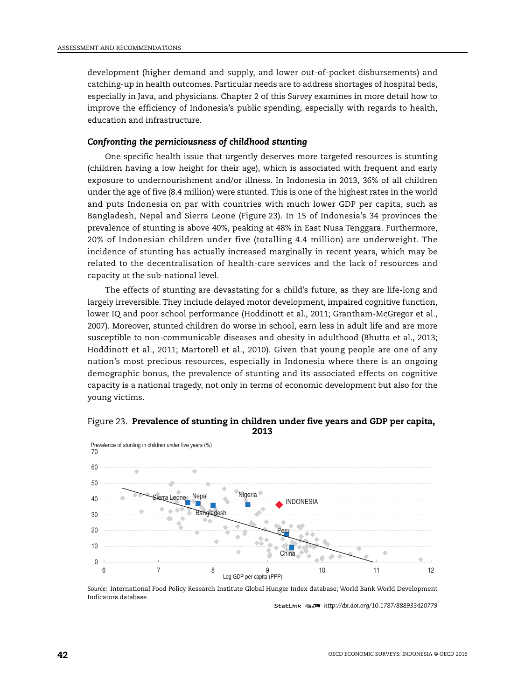development (higher demand and supply, and lower out-of-pocket disbursements) and catching-up in health outcomes. Particular needs are to address shortages of hospital beds, especially in Java, and physicians. Chapter 2 of this *Survey* examines in more detail how to improve the efficiency of Indonesia's public spending, especially with regards to health, education and infrastructure.

#### *Confronting the perniciousness of childhood stunting*

One specific health issue that urgently deserves more targeted resources is stunting (children having a low height for their age), which is associated with frequent and early exposure to undernourishment and/or illness. In Indonesia in 2013, 36% of all children under the age of five (8.4 million) were stunted. This is one of the highest rates in the world and puts Indonesia on par with countries with much lower GDP per capita, such as Bangladesh, Nepal and Sierra Leone (Figure 23). In 15 of Indonesia's 34 provinces the prevalence of stunting is above 40%, peaking at 48% in East Nusa Tenggara. Furthermore, 20% of Indonesian children under five (totalling 4.4 million) are underweight. The incidence of stunting has actually increased marginally in recent years, which may be related to the decentralisation of health-care services and the lack of resources and capacity at the sub-national level.

The effects of stunting are devastating for a child's future, as they are life-long and largely irreversible. They include delayed motor development, impaired cognitive function, lower IQ and poor school performance (Hoddinott et al., 2011; Grantham-McGregor et al., 2007). Moreover, stunted children do worse in school, earn less in adult life and are more susceptible to non-communicable diseases and obesity in adulthood (Bhutta et al., 2013; Hoddinott et al., 2011; Martorell et al., 2010). Given that young people are one of any nation's most precious resources, especially in Indonesia where there is an ongoing demographic bonus, the prevalence of stunting and its associated effects on cognitive capacity is a national tragedy, not only in terms of economic development but also for the young victims.



Figure 23. **Prevalence of stunting in children under five years and GDP per capita, 2013**

*Source:* International Food Policy Research Institute Global Hunger Index database; World Bank World Development Indicators database.

1 2 *http://dx.doi.org/10.1787/888933420779*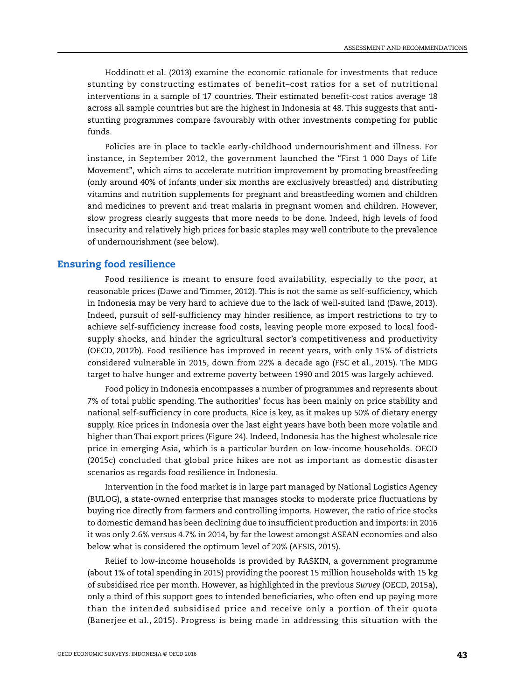Hoddinott et al. (2013) examine the economic rationale for investments that reduce stunting by constructing estimates of benefit–cost ratios for a set of nutritional interventions in a sample of 17 countries. Their estimated benefit-cost ratios average 18 across all sample countries but are the highest in Indonesia at 48. This suggests that antistunting programmes compare favourably with other investments competing for public funds.

Policies are in place to tackle early-childhood undernourishment and illness. For instance, in September 2012, the government launched the "First 1 000 Days of Life Movement", which aims to accelerate nutrition improvement by promoting breastfeeding (only around 40% of infants under six months are exclusively breastfed) and distributing vitamins and nutrition supplements for pregnant and breastfeeding women and children and medicines to prevent and treat malaria in pregnant women and children. However, slow progress clearly suggests that more needs to be done. Indeed, high levels of food insecurity and relatively high prices for basic staples may well contribute to the prevalence of undernourishment (see below).

## **Ensuring food resilience**

Food resilience is meant to ensure food availability, especially to the poor, at reasonable prices (Dawe and Timmer, 2012). This is not the same as self-sufficiency, which in Indonesia may be very hard to achieve due to the lack of well-suited land (Dawe, 2013). Indeed, pursuit of self-sufficiency may hinder resilience, as import restrictions to try to achieve self-sufficiency increase food costs, leaving people more exposed to local foodsupply shocks, and hinder the agricultural sector's competitiveness and productivity (OECD, 2012b). Food resilience has improved in recent years, with only 15% of districts considered vulnerable in 2015, down from 22% a decade ago (FSC et al., 2015). The MDG target to halve hunger and extreme poverty between 1990 and 2015 was largely achieved.

Food policy in Indonesia encompasses a number of programmes and represents about 7% of total public spending. The authorities' focus has been mainly on price stability and national self-sufficiency in core products. Rice is key, as it makes up 50% of dietary energy supply. Rice prices in Indonesia over the last eight years have both been more volatile and higher than Thai export prices (Figure 24). Indeed, Indonesia has the highest wholesale rice price in emerging Asia, which is a particular burden on low-income households. OECD (2015c) concluded that global price hikes are not as important as domestic disaster scenarios as regards food resilience in Indonesia.

Intervention in the food market is in large part managed by National Logistics Agency (BULOG), a state-owned enterprise that manages stocks to moderate price fluctuations by buying rice directly from farmers and controlling imports. However, the ratio of rice stocks to domestic demand has been declining due to insufficient production and imports: in 2016 it was only 2.6% versus 4.7% in 2014, by far the lowest amongst ASEAN economies and also below what is considered the optimum level of 20% (AFSIS, 2015).

Relief to low-income households is provided by RASKIN, a government programme (about 1% of total spending in 2015) providing the poorest 15 million households with 15 kg of subsidised rice per month. However, as highlighted in the previous *Survey* (OECD, 2015a), only a third of this support goes to intended beneficiaries, who often end up paying more than the intended subsidised price and receive only a portion of their quota (Banerjee et al., 2015). Progress is being made in addressing this situation with the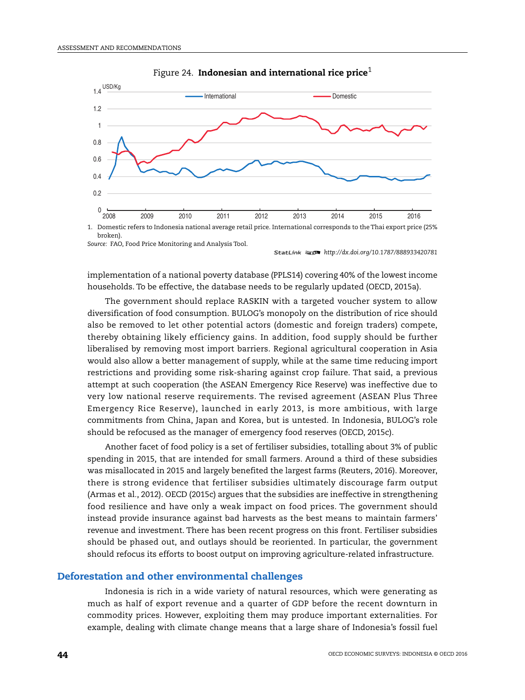



*Source:* FAO, Food Price Monitoring and Analysis Tool.

1 2 *http://dx.doi.org/10.1787/888933420781*

implementation of a national poverty database (PPLS14) covering 40% of the lowest income households. To be effective, the database needs to be regularly updated (OECD, 2015a).

The government should replace RASKIN with a targeted voucher system to allow diversification of food consumption. BULOG's monopoly on the distribution of rice should also be removed to let other potential actors (domestic and foreign traders) compete, thereby obtaining likely efficiency gains. In addition, food supply should be further liberalised by removing most import barriers. Regional agricultural cooperation in Asia would also allow a better management of supply, while at the same time reducing import restrictions and providing some risk-sharing against crop failure. That said, a previous attempt at such cooperation (the ASEAN Emergency Rice Reserve) was ineffective due to very low national reserve requirements. The revised agreement (ASEAN Plus Three Emergency Rice Reserve), launched in early 2013, is more ambitious, with large commitments from China, Japan and Korea, but is untested. In Indonesia, BULOG's role should be refocused as the manager of emergency food reserves (OECD, 2015c).

Another facet of food policy is a set of fertiliser subsidies, totalling about 3% of public spending in 2015, that are intended for small farmers. Around a third of these subsidies was misallocated in 2015 and largely benefited the largest farms (Reuters, 2016). Moreover, there is strong evidence that fertiliser subsidies ultimately discourage farm output (Armas et al*.*, 2012). OECD (2015c) argues that the subsidies are ineffective in strengthening food resilience and have only a weak impact on food prices. The government should instead provide insurance against bad harvests as the best means to maintain farmers' revenue and investment. There has been recent progress on this front. Fertiliser subsidies should be phased out, and outlays should be reoriented. In particular, the government should refocus its efforts to boost output on improving agriculture-related infrastructure.

### **Deforestation and other environmental challenges**

Indonesia is rich in a wide variety of natural resources, which were generating as much as half of export revenue and a quarter of GDP before the recent downturn in commodity prices. However, exploiting them may produce important externalities. For example, dealing with climate change means that a large share of Indonesia's fossil fuel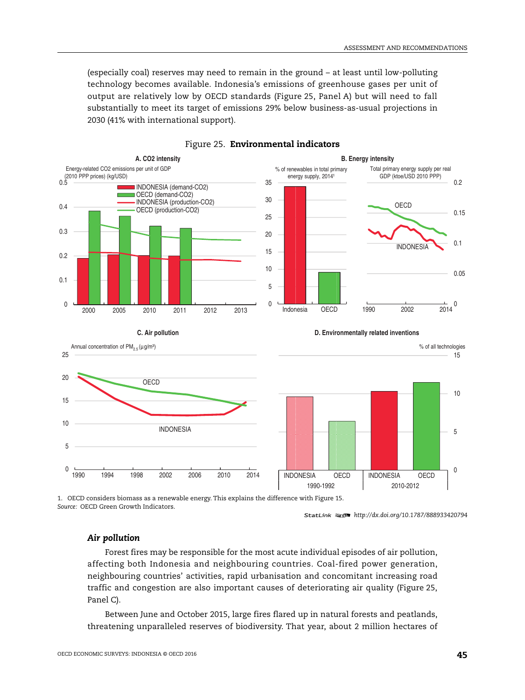(especially coal) reserves may need to remain in the ground – at least until low-polluting technology becomes available. Indonesia's emissions of greenhouse gases per unit of output are relatively low by OECD standards (Figure 25, Panel A) but will need to fall substantially to meet its target of emissions 29% below business-as-usual projections in 2030 (41% with international support).



Figure 25. **Environmental indicators**

1. OECD considers biomass as a renewable energy. This explains the difference with Figure 15. *Source:* OECD Green Growth Indicators.

## *Air pollution*

Forest fires may be responsible for the most acute individual episodes of air pollution, affecting both Indonesia and neighbouring countries. Coal-fired power generation, neighbouring countries' activities, rapid urbanisation and concomitant increasing road traffic and congestion are also important causes of deteriorating air quality (Figure 25, Panel C).

Between June and October 2015, large fires flared up in natural forests and peatlands, threatening unparalleled reserves of biodiversity. That year, about 2 million hectares of

<sup>1 2</sup> *http://dx.doi.org/10.1787/888933420794*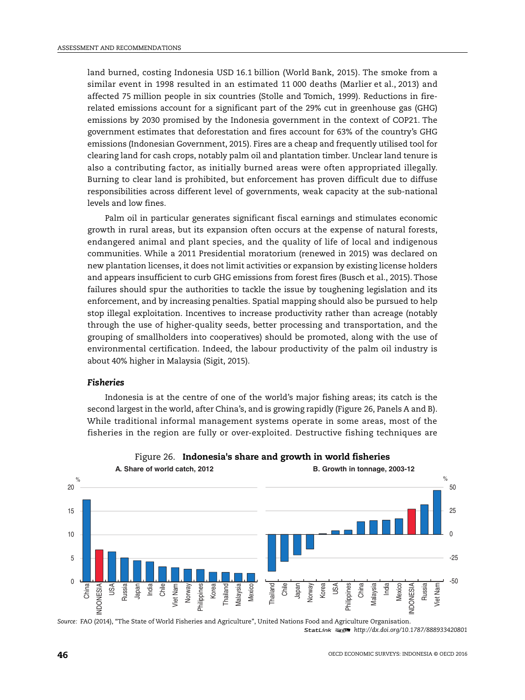land burned, costing Indonesia USD 16.1 billion (World Bank, 2015). The smoke from a similar event in 1998 resulted in an estimated 11 000 deaths (Marlier et al., 2013) and affected 75 million people in six countries (Stolle and Tomich, 1999). Reductions in firerelated emissions account for a significant part of the 29% cut in greenhouse gas (GHG) emissions by 2030 promised by the Indonesia government in the context of COP21. The government estimates that deforestation and fires account for 63% of the country's GHG emissions (Indonesian Government, 2015). Fires are a cheap and frequently utilised tool for clearing land for cash crops, notably palm oil and plantation timber. Unclear land tenure is also a contributing factor, as initially burned areas were often appropriated illegally. Burning to clear land is prohibited, but enforcement has proven difficult due to diffuse responsibilities across different level of governments, weak capacity at the sub-national levels and low fines.

Palm oil in particular generates significant fiscal earnings and stimulates economic growth in rural areas, but its expansion often occurs at the expense of natural forests, endangered animal and plant species, and the quality of life of local and indigenous communities. While a 2011 Presidential moratorium (renewed in 2015) was declared on new plantation licenses, it does not limit activities or expansion by existing license holders and appears insufficient to curb GHG emissions from forest fires (Busch et al., 2015). Those failures should spur the authorities to tackle the issue by toughening legislation and its enforcement, and by increasing penalties. Spatial mapping should also be pursued to help stop illegal exploitation. Incentives to increase productivity rather than acreage (notably through the use of higher-quality seeds, better processing and transportation, and the grouping of smallholders into cooperatives) should be promoted, along with the use of environmental certification. Indeed, the labour productivity of the palm oil industry is about 40% higher in Malaysia (Sigit, 2015).

#### *Fisheries*

Indonesia is at the centre of one of the world's major fishing areas; its catch is the second largest in the world, after China's, and is growing rapidly (Figure 26, Panels A and B). While traditional informal management systems operate in some areas, most of the fisheries in the region are fully or over-exploited. Destructive fishing techniques are



Figure 26. **Indonesia's share and growth in world fisheries**

*Source:* FAO (2014), "The State of World Fisheries and Agriculture", United Nations Food and Agriculture Organisation. 1 2 *http://dx.doi.org/10.1787/888933420801*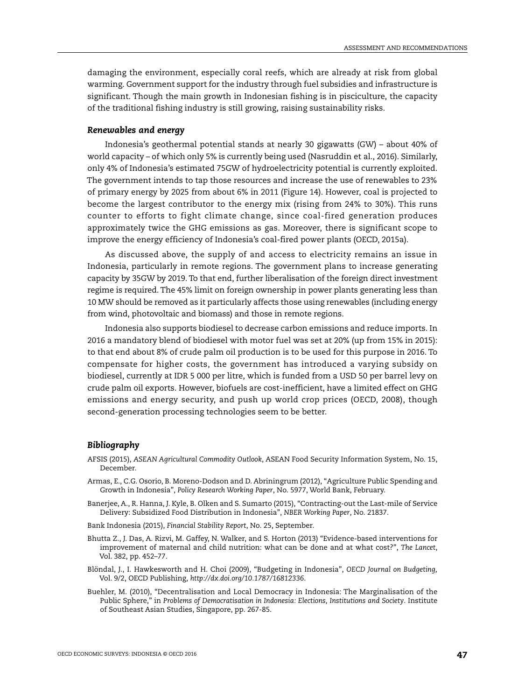damaging the environment, especially coral reefs, which are already at risk from global warming. Government support for the industry through fuel subsidies and infrastructure is significant. Though the main growth in Indonesian fishing is in pisciculture, the capacity of the traditional fishing industry is still growing, raising sustainability risks.

#### *Renewables and energy*

Indonesia's geothermal potential stands at nearly 30 gigawatts (GW) – about 40% of world capacity – of which only 5% is currently being used (Nasruddin et al., 2016). Similarly, only 4% of Indonesia's estimated 75GW of hydroelectricity potential is currently exploited. The government intends to tap those resources and increase the use of renewables to 23% of primary energy by 2025 from about 6% in 2011 (Figure 14). However, coal is projected to become the largest contributor to the energy mix (rising from 24% to 30%). This runs counter to efforts to fight climate change, since coal-fired generation produces approximately twice the GHG emissions as gas. Moreover, there is significant scope to improve the energy efficiency of Indonesia's coal-fired power plants (OECD, 2015a).

As discussed above, the supply of and access to electricity remains an issue in Indonesia, particularly in remote regions. The government plans to increase generating capacity by 35GW by 2019. To that end, further liberalisation of the foreign direct investment regime is required. The 45% limit on foreign ownership in power plants generating less than 10 MW should be removed as it particularly affects those using renewables (including energy from wind, photovoltaic and biomass) and those in remote regions.

Indonesia also supports biodiesel to decrease carbon emissions and reduce imports. In 2016 a mandatory blend of biodiesel with motor fuel was set at 20% (up from 15% in 2015): to that end about 8% of crude palm oil production is to be used for this purpose in 2016. To compensate for higher costs, the government has introduced a varying subsidy on biodiesel, currently at IDR 5 000 per litre, which is funded from a USD 50 per barrel levy on crude palm oil exports. However, biofuels are cost-inefficient, have a limited effect on GHG emissions and energy security, and push up world crop prices (OECD, 2008), though second-generation processing technologies seem to be better.

#### *Bibliography*

- AFSIS (2015), *ASEAN Agricultural Commodity Outlook*, ASEAN Food Security Information System, No. 15, December.
- Armas, E., C.G. Osorio, B. Moreno-Dodson and D. Abriningrum (2012), "Agriculture Public Spending and Growth in Indonesia", *Policy Research Working Paper*, No. 5977, World Bank, February.
- Banerjee, A., R. Hanna, J. Kyle, B. Olken and S. Sumarto (2015), "Contracting-out the Last-mile of Service Delivery: Subsidized Food Distribution in Indonesia", *NBER Working Paper*, No. 21837.
- Bank Indonesia (2015), *Financial Stability Report*, No. 25, September.
- Bhutta Z., J. Das, A. Rizvi, M. Gaffey, N. Walker, and S. Horton (2013) "Evidence-based interventions for improvement of maternal and child nutrition: what can be done and at what cost?", *The Lancet*, Vol. 382, pp. 452–77.
- Blöndal, J., I. Hawkesworth and H. Choi (2009), "Budgeting in Indonesia", *OECD Journal on Budgeting,* Vol. 9/2, OECD Publishing, *http://dx.doi.org/10.1787/16812336*.
- Buehler, M. (2010), "Decentralisation and Local Democracy in Indonesia: The Marginalisation of the Public Sphere," in *Problems of Democratisation in Indonesia: Elections, Institutions and Society*. Institute of Southeast Asian Studies, Singapore, pp. 267-85.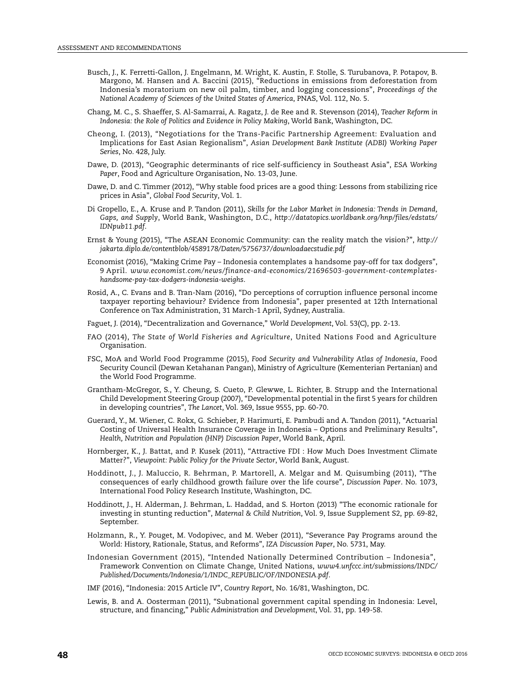- Busch, J., K. Ferretti-Gallon, J. Engelmann, M. Wright, K. Austin, F. Stolle, S. Turubanova, P. Potapov, B. Margono, M. Hansen and A. Baccini (2015), "Reductions in emissions from deforestation from Indonesia's moratorium on new oil palm, timber, and logging concessions", *Proceedings of the National Academy of Sciences of the United States of America*, PNAS, Vol. 112, No. 5.
- Chang, M. C., S. Shaeffer, S. Al-Samarrai, A. Ragatz, J. de Ree and R. Stevenson (2014), *Teacher Reform in Indonesia: the Role of Politics and Evidence in Policy Making*, World Bank, Washington, DC.
- Cheong, I. (2013), "Negotiations for the Trans-Pacific Partnership Agreement: Evaluation and Implications for East Asian Regionalism", *Asian Development Bank Institute (ADBI) Working Paper Series*, No. 428, July.
- Dawe, D. (2013), "Geographic determinants of rice self-sufficiency in Southeast Asia", *ESA Working Paper*, Food and Agriculture Organisation, No. 13-03, June.
- Dawe, D. and C. Timmer (2012), "Why stable food prices are a good thing: Lessons from stabilizing rice prices in Asia", *Global Food Security*, Vol. 1.
- Di Gropello, E., A. Kruse and P. Tandon (2011), *Skills for the Labor Market in Indonesia: Trends in Demand, Gaps, and Supply*, World Bank, Washington, D.C., *http://datatopics.worldbank.org/hnp/files/edstats/ IDNpub11.pdf*.
- Ernst & Young (2015), "The ASEAN Economic Community: can the reality match the vision?", *http:// jakarta.diplo.de/contentblob/4589178/Daten/5756737/downloadaecstudie.pdf*
- Economist (2016), "Making Crime Pay Indonesia contemplates a handsome pay-off for tax dodgers", 9 April. *www.economist.com/news/finance-and-economics/21696503-government-contemplateshandsome-pay-tax-dodgers-indonesia-weighs*.
- Rosid, A., C. Evans and B. Tran-Nam (2016), "Do perceptions of corruption influence personal income taxpayer reporting behaviour? Evidence from Indonesia", paper presented at 12th International Conference on Tax Administration, 31 March-1 April, Sydney, Australia.
- Faguet, J. (2014), "Decentralization and Governance," *World Development*, Vol. 53(C), pp. 2-13.
- FAO (2014), *The State of World Fisheries and Agriculture*, United Nations Food and Agriculture Organisation.
- FSC, MoA and World Food Programme (2015), *Food Security and Vulnerability Atlas of Indonesia,* Food Security Council (Dewan Ketahanan Pangan), Ministry of Agriculture (Kementerian Pertanian) and the World Food Programme.
- Grantham-McGregor, S., Y. Cheung, S. Cueto, P. Glewwe, L. Richter, B. Strupp and the International Child Development Steering Group (2007), "Developmental potential in the first 5 years for children in developing countries", *The Lancet*, Vol. 369, Issue 9555, pp. 60-70.
- Guerard, Y., M. Wiener, C. Rokx, G. Schieber, P. Harimurti, E. Pambudi and A. Tandon (2011), "Actuarial Costing of Universal Health Insurance Coverage in Indonesia – Options and Preliminary Results", *Health, Nutrition and Population (HNP) Discussion Paper*, World Bank, April.
- Hornberger, K., J. Battat, and P. Kusek (2011), "Attractive FDI : How Much Does Investment Climate Matter?", *Viewpoint: Public Policy for the Private Sector*, World Bank, August.
- Hoddinott, J., J. Maluccio, R. Behrman, P. Martorell, A. Melgar and M. Quisumbing (2011), "The consequences of early childhood growth failure over the life course", *Discussion Paper*. No. 1073, International Food Policy Research Institute, Washington, DC.
- Hoddinott, J., H. Alderman, J. Behrman, L. Haddad, and S. Horton (2013) "The economic rationale for investing in stunting reduction", *Maternal & Child Nutrition*, Vol. 9, Issue Supplement S2, pp. 69-82, September.
- Holzmann, R., Y. Pouget, M. Vodopivec, and M. Weber (2011), "Severance Pay Programs around the World: History, Rationale, Status, and Reforms", *IZA Discussion Paper*, No. 5731, May.
- Indonesian Government (2015), "Intended Nationally Determined Contribution Indonesia", Framework Convention on Climate Change, United Nations, *www4.unfccc.int/submissions/INDC/ Published/Documents/Indonesia/1/INDC\_REPUBLIC/OF/INDONESIA.pdf*.
- IMF (2016), "Indonesia: 2015 Article IV", *Country Report*, No. 16/81, Washington, DC.
- Lewis, B. and A. Oosterman (2011), "Subnational government capital spending in Indonesia: Level, structure, and financing," *Public Administration and Development*, Vol. 31, pp. 149-58.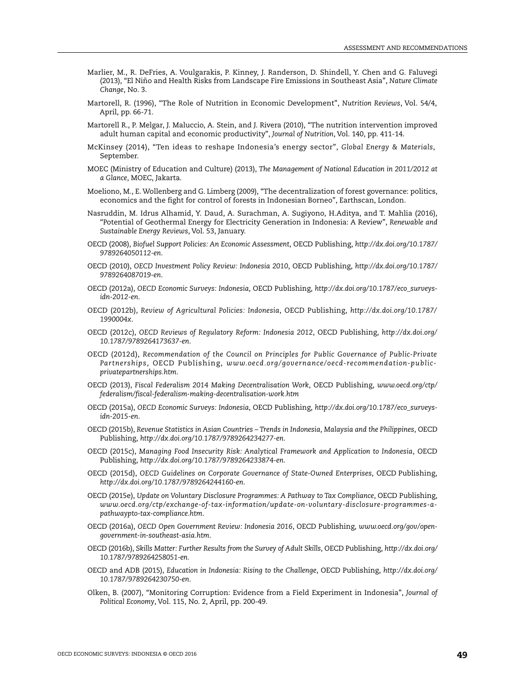- Marlier, M., R. DeFries, A. Voulgarakis, P. Kinney, J. Randerson, D. Shindell, Y. Chen and G. Faluvegi (2013), "El Niño and Health Risks from Landscape Fire Emissions in Southeast Asia", *Nature Climate Change*, No. 3.
- Martorell, R. (1996), "The Role of Nutrition in Economic Development", *Nutrition Reviews*, Vol. 54/4, April, pp. 66-71.
- Martorell R., P. Melgar, J. Maluccio, A. Stein, and J. Rivera (2010), "The nutrition intervention improved adult human capital and economic productivity", *Journal of Nutrition*, Vol. 140, pp. 411-14.
- McKinsey (2014), "Ten ideas to reshape Indonesia's energy sector", *Global Energy & Materials*, September.
- MOEC (Ministry of Education and Culture) (2013), *The Management of National Education in 2011/2012 at a Glance*, MOEC, Jakarta.
- Moeliono, M., E. Wollenberg and G. Limberg (2009), "The decentralization of forest governance: politics, economics and the fight for control of forests in Indonesian Borneo", Earthscan, London.
- Nasruddin, M. Idrus Alhamid, Y. Daud, A. Surachman, A. Sugiyono, H.Aditya, and T. Mahlia (2016), "Potential of Geothermal Energy for Electricity Generation in Indonesia: A Review", *Renewable and Sustainable Energy Reviews*, Vol. 53, January.
- OECD (2008), *Biofuel Support Policies: An Economic Assessment*, OECD Publishing, *http://dx.doi.org/10.1787/ 9789264050112-en*.
- OECD (2010), *OECD Investment Policy Review: Indonesia 2010*, OECD Publishing, *http://dx.doi.org/10.1787/ 9789264087019-en*.
- OECD (2012a), *OECD Economic Surveys: Indonesia*, OECD Publishing, *http://dx.doi.org/10.1787/eco\_surveysidn-2012-en*.
- OECD (2012b), *Review of Agricultural Policies: Indonesia*, OECD Publishing, *http://dx.doi.org/10.1787/ 1990004x*.
- OECD (2012c), *OECD Reviews of Regulatory Reform: Indonesia 2012*, OECD Publishing, *http://dx.doi.org/ 10.1787/9789264173637-en*.
- OECD (2012d), *Recommendation of the Council on Principles for Public Governance of Public-Private* Partnerships, OECD Publishing, www.oecd.org/governance/oecd-recommendation-public*privatepartnerships.htm*.
- OECD (2013), *Fiscal Federalism 2014 Making Decentralisation Work*, OECD Publishing, *www.oecd.org/ctp/ federalism/fiscal-federalism-making-decentralisation-work.htm*
- OECD (2015a), *OECD Economic Surveys: Indonesia*, OECD Publishing, *http://dx.doi.org/10.1787/eco\_surveysidn-2015-en*.
- OECD (2015b), *Revenue Statistics in Asian Countries Trends in Indonesia, Malaysia and the Philippines*, OECD Publishing, *http://dx.doi.org/10.1787/9789264234277-en*.
- OECD (2015c), *Managing Food Insecurity Risk: Analytical Framework and Application to Indonesia*, OECD Publishing, *http://dx.doi.org/10.1787/9789264233874-en*.
- OECD (2015d), *OECD Guidelines on Corporate Governance of State-Owned Enterprises*, OECD Publishing, *http://dx.doi.org/10.1787/9789264244160-en*.
- OECD (2015e), *Update on Voluntary Disclosure Programmes: A Pathway to Tax Compliance*, OECD Publishing, *www.oecd.org/ctp/exchange-of-tax-information/update-on-voluntary-disclosure-programmes-apathwaypto-tax-compliance.htm*.
- OECD (2016a), *OECD Open Government Review: Indonesia 2016*, OECD Publishing, *www.oecd.org/gov/opengovernment-in-southeast-asia.htm*.
- OECD (2016b), *Skills Matter: Further Results from the Survey of Adult Skills*, OECD Publishing, *http://dx.doi.org/ 10.1787/9789264258051-en*.
- OECD and ADB (2015), *Education in Indonesia: Rising to the Challenge*, OECD Publishing, *http://dx.doi.org/ 10.1787/9789264230750-en*.
- Olken, B. (2007), "Monitoring Corruption: Evidence from a Field Experiment in Indonesia", *Journal of Political Economy*, Vol. 115, No. 2, April, pp. 200-49.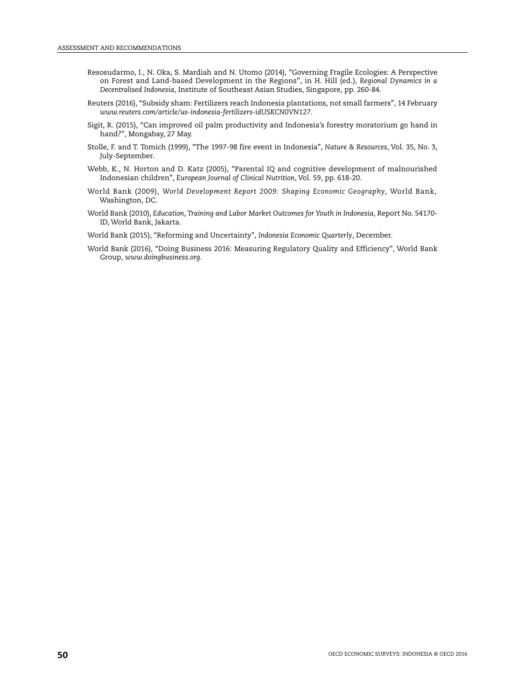- Resosudarmo, I., N. Oka, S. Mardiah and N. Utomo (2014), "Governing Fragile Ecologies: A Perspective on Forest and Land-based Development in the Regions", in H. Hill (ed.), *Regional Dynamics in a Decentralised Indonesia*, Institute of Southeast Asian Studies, Singapore, pp. 260-84.
- Reuters (2016), "Subsidy sham: Fertilizers reach Indonesia plantations, not small farmers", 14 February *www.reuters.com/article/us-indonesia-fertilizers-idUSKCN0VN127*.
- Sigit, R. (2015), "Can improved oil palm productivity and Indonesia's forestry moratorium go hand in hand?", Mongabay, 27 May.
- Stolle, F. and T. Tomich (1999), "The 1997-98 fire event in Indonesia", *Nature & Resources*, Vol. 35, No. 3, July-September.
- Webb, K., N. Horton and D. Katz (2005), "Parental IQ and cognitive development of malnourished Indonesian children", *European Journal of Clinical Nutrition*, Vol. 59, pp. 618-20.
- World Bank (2009), *World Development Report 2009: Shaping Economic Geography*, World Bank, Washington, DC.
- World Bank (2010), *Education, Training and Labor Market Outcomes for Youth in Indonesia*, Report No. 54170- ID, World Bank, Jakarta.

World Bank (2015), "Reforming and Uncertainty", *Indonesia Economic Quarterly*, December.

World Bank (2016), "Doing Business 2016: Measuring Regulatory Quality and Efficiency", World Bank Group, *www.doingbusiness.org*.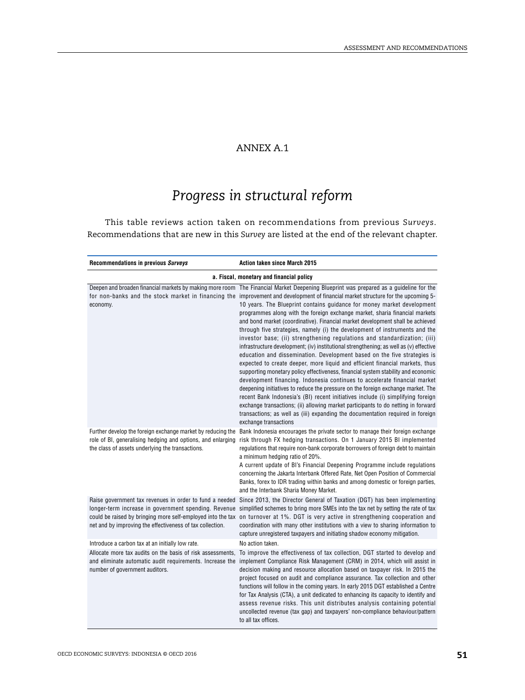## ANNEX A.1

## *Progress in structural reform*

This table reviews action taken on recommendations from previous *Surveys*. Recommendations that are new in this *Survey* are listed at the end of the relevant chapter.

| Recommendations in previous Surveys                                                                                                                                          | <b>Action taken since March 2015</b>                                                                                                                                                                                                                                                                                                                                                                                                                                                                                                                                                                                                                                                                                                                                                                                                                                                                                                                                                                                                                                                                                                                                                                                                                                                                                                                                                                                                                                           |
|------------------------------------------------------------------------------------------------------------------------------------------------------------------------------|--------------------------------------------------------------------------------------------------------------------------------------------------------------------------------------------------------------------------------------------------------------------------------------------------------------------------------------------------------------------------------------------------------------------------------------------------------------------------------------------------------------------------------------------------------------------------------------------------------------------------------------------------------------------------------------------------------------------------------------------------------------------------------------------------------------------------------------------------------------------------------------------------------------------------------------------------------------------------------------------------------------------------------------------------------------------------------------------------------------------------------------------------------------------------------------------------------------------------------------------------------------------------------------------------------------------------------------------------------------------------------------------------------------------------------------------------------------------------------|
|                                                                                                                                                                              | a. Fiscal, monetary and financial policy                                                                                                                                                                                                                                                                                                                                                                                                                                                                                                                                                                                                                                                                                                                                                                                                                                                                                                                                                                                                                                                                                                                                                                                                                                                                                                                                                                                                                                       |
| economy.                                                                                                                                                                     | Deepen and broaden financial markets by making more room The Financial Market Deepening Blueprint was prepared as a quideline for the<br>for non-banks and the stock market in financing the improvement and development of financial market structure for the upcoming 5-<br>10 years. The Blueprint contains guidance for money market development<br>programmes along with the foreign exchange market, sharia financial markets<br>and bond market (coordinative). Financial market development shall be achieved<br>through five strategies, namely (i) the development of instruments and the<br>investor base; (ii) strengthening regulations and standardization; (iii)<br>infrastructure development; (iv) institutional strengthening; as well as (v) effective<br>education and dissemination. Development based on the five strategies is<br>expected to create deeper, more liquid and efficient financial markets, thus<br>supporting monetary policy effectiveness, financial system stability and economic<br>development financing. Indonesia continues to accelerate financial market<br>deepening initiatives to reduce the pressure on the foreign exchange market. The<br>recent Bank Indonesia's (BI) recent initiatives include (i) simplifying foreign<br>exchange transactions; (ii) allowing market participants to do netting in forward<br>transactions; as well as (iii) expanding the documentation required in foreign<br>exchange transactions |
| the class of assets underlying the transactions.                                                                                                                             | Further develop the foreign exchange market by reducing the Bank Indonesia encourages the private sector to manage their foreign exchange<br>role of BI, generalising hedging and options, and enlarging risk through FX hedging transactions. On 1 January 2015 BI implemented<br>regulations that require non-bank corporate borrowers of foreign debt to maintain<br>a minimum hedging ratio of 20%.<br>A current update of BI's Financial Deepening Programme include regulations<br>concerning the Jakarta Interbank Offered Rate, Net Open Position of Commercial<br>Banks, forex to IDR trading within banks and among domestic or foreign parties,<br>and the Interbank Sharia Money Market.                                                                                                                                                                                                                                                                                                                                                                                                                                                                                                                                                                                                                                                                                                                                                                           |
| Raise government tax revenues in order to fund a needed<br>longer-term increase in government spending. Revenue<br>net and by improving the effectiveness of tax collection. | Since 2013, the Director General of Taxation (DGT) has been implementing<br>simplified schemes to bring more SMEs into the tax net by setting the rate of tax<br>could be raised by bringing more self-employed into the tax on turnover at 1%. DGT is very active in strengthening cooperation and<br>coordination with many other institutions with a view to sharing information to<br>capture unregistered taxpayers and initiating shadow economy mitigation.                                                                                                                                                                                                                                                                                                                                                                                                                                                                                                                                                                                                                                                                                                                                                                                                                                                                                                                                                                                                             |
| Introduce a carbon tax at an initially low rate.                                                                                                                             | No action taken.                                                                                                                                                                                                                                                                                                                                                                                                                                                                                                                                                                                                                                                                                                                                                                                                                                                                                                                                                                                                                                                                                                                                                                                                                                                                                                                                                                                                                                                               |
| Allocate more tax audits on the basis of risk assessments,<br>and eliminate automatic audit requirements. Increase the<br>number of government auditors.                     | To improve the effectiveness of tax collection, DGT started to develop and<br>implement Compliance Risk Management (CRM) in 2014, which will assist in<br>decision making and resource allocation based on taxpayer risk. In 2015 the<br>project focused on audit and compliance assurance. Tax collection and other<br>functions will follow in the coming years. In early 2015 DGT established a Centre<br>for Tax Analysis (CTA), a unit dedicated to enhancing its capacity to identify and<br>assess revenue risks. This unit distributes analysis containing potential<br>uncollected revenue (tax gap) and taxpayers' non-compliance behaviour/pattern<br>to all tax offices.                                                                                                                                                                                                                                                                                                                                                                                                                                                                                                                                                                                                                                                                                                                                                                                           |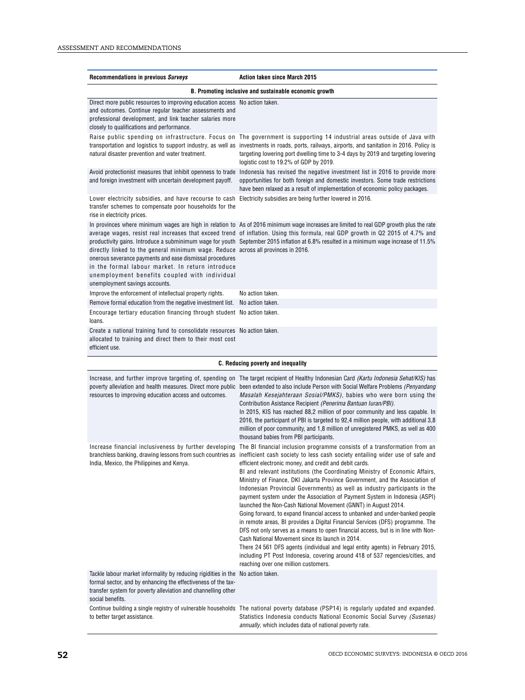| Recommendations in previous Surveys                                                                                                                                                                                                                                                  | <b>Action taken since March 2015</b>                                                                                                                                                                                                                                                                                                                                                                                  |
|--------------------------------------------------------------------------------------------------------------------------------------------------------------------------------------------------------------------------------------------------------------------------------------|-----------------------------------------------------------------------------------------------------------------------------------------------------------------------------------------------------------------------------------------------------------------------------------------------------------------------------------------------------------------------------------------------------------------------|
|                                                                                                                                                                                                                                                                                      | B. Promoting inclusive and sustainable economic growth                                                                                                                                                                                                                                                                                                                                                                |
| Direct more public resources to improving education access No action taken.<br>and outcomes. Continue regular teacher assessments and<br>professional development, and link teacher salaries more<br>closely to qualifications and performance.                                      |                                                                                                                                                                                                                                                                                                                                                                                                                       |
| natural disaster prevention and water treatment.                                                                                                                                                                                                                                     | Raise public spending on infrastructure. Focus on The government is supporting 14 industrial areas outside of Java with<br>transportation and logistics to support industry, as well as investments in roads, ports, railways, airports, and sanitation in 2016. Policy is<br>targeting lowering port dwelling time to 3-4 days by 2019 and targeting lowering<br>logistic cost to 19.2% of GDP by 2019.              |
| Avoid protectionist measures that inhibit openness to trade<br>and foreign investment with uncertain development payoff.                                                                                                                                                             | Indonesia has revised the negative investment list in 2016 to provide more<br>opportunities for both foreign and domestic investors. Some trade restrictions<br>have been relaxed as a result of implementation of economic policy packages.                                                                                                                                                                          |
| Lower electricity subsidies, and have recourse to cash Electricity subsidies are being further lowered in 2016.<br>transfer schemes to compensate poor households for the<br>rise in electricity prices.                                                                             |                                                                                                                                                                                                                                                                                                                                                                                                                       |
| directly linked to the general minimum wage. Reduce across all provinces in 2016.<br>onerous severance payments and ease dismissal procedures<br>in the formal labour market. In return introduce<br>unemployment benefits coupled with individual<br>unemployment savings accounts. | In provinces where minimum wages are high in relation to As of 2016 minimum wage increases are limited to real GDP growth plus the rate<br>average wages, resist real increases that exceed trend of inflation. Using this formula, real GDP growth in Q2 2015 of 4.7% and<br>productivity gains. Introduce a subminimum wage for youth September 2015 inflation at 6.8% resulted in a minimum wage increase of 11.5% |
| Improve the enforcement of intellectual property rights.                                                                                                                                                                                                                             | No action taken.                                                                                                                                                                                                                                                                                                                                                                                                      |
| Remove formal education from the negative investment list.                                                                                                                                                                                                                           | No action taken.                                                                                                                                                                                                                                                                                                                                                                                                      |
| Encourage tertiary education financing through student No action taken.<br>loans.                                                                                                                                                                                                    |                                                                                                                                                                                                                                                                                                                                                                                                                       |
| Create a national training fund to consolidate resources No action taken.<br>allocated to training and direct them to their most cost<br>efficient use.                                                                                                                              |                                                                                                                                                                                                                                                                                                                                                                                                                       |
|                                                                                                                                                                                                                                                                                      | C. Reducing poverty and inequality                                                                                                                                                                                                                                                                                                                                                                                    |
| resources to improving education access and outcomes.                                                                                                                                                                                                                                | Increase, and further improve targeting of, spending on The target recipient of Healthy Indonesian Card (Kartu Indonesia Sehat/KIS) has<br>poverty alleviation and health measures. Direct more public been extended to also include Person with Social Welfare Problems (Penyandang<br>Masalah Kesejahteraan Sosial/PMKS), babies who were born using the                                                            |

| resources to improving education access and outcomes.                                                                                                                                                                                 | <i>Masalah Kesejahteraan Sosial/PMKS)</i> , babies who were born using the<br>Contribution Asistance Recipient (Penerima Bantuan Iuran/PBI).<br>In 2015, KIS has reached 88,2 million of poor community and less capable. In<br>2016, the participant of PBI is targeted to 92,4 million people, with additional 3,8<br>million of poor community, and 1,8 million of unregistered PMKS, as well as 400<br>thousand babies from PBI participants.                                                                                                                                                                                                                                                                                                                                                                                                                                                                                                                                                                                                                                                                                                                                                     |
|---------------------------------------------------------------------------------------------------------------------------------------------------------------------------------------------------------------------------------------|-------------------------------------------------------------------------------------------------------------------------------------------------------------------------------------------------------------------------------------------------------------------------------------------------------------------------------------------------------------------------------------------------------------------------------------------------------------------------------------------------------------------------------------------------------------------------------------------------------------------------------------------------------------------------------------------------------------------------------------------------------------------------------------------------------------------------------------------------------------------------------------------------------------------------------------------------------------------------------------------------------------------------------------------------------------------------------------------------------------------------------------------------------------------------------------------------------|
| Increase financial inclusiveness by further developing<br>India, Mexico, the Philippines and Kenya.                                                                                                                                   | The BI financial inclusion programme consists of a transformation from an<br>branchless banking, drawing lessons from such countries as inefficient cash society to less cash society entailing wider use of safe and<br>efficient electronic money, and credit and debit cards.<br>BI and relevant institutions (the Coordinating Ministry of Economic Affairs,<br>Ministry of Finance, DKI Jakarta Province Government, and the Association of<br>Indonesian Provincial Governments) as well as industry participants in the<br>payment system under the Association of Payment System in Indonesia (ASPI)<br>launched the Non-Cash National Movement (GNNT) in August 2014.<br>Going forward, to expand financial access to unbanked and under-banked people<br>in remote areas, BI provides a Digital Financial Services (DFS) programme. The<br>DFS not only serves as a means to open financial access, but is in line with Non-<br>Cash National Movement since its launch in 2014.<br>There 24 561 DFS agents (individual and legal entity agents) in February 2015,<br>including PT Post Indonesia, covering around 418 of 537 regencies/cities, and<br>reaching over one million customers. |
| Tackle labour market informality by reducing rigidities in the No action taken.<br>formal sector, and by enhancing the effectiveness of the tax-<br>transfer system for poverty alleviation and channelling other<br>social benefits. |                                                                                                                                                                                                                                                                                                                                                                                                                                                                                                                                                                                                                                                                                                                                                                                                                                                                                                                                                                                                                                                                                                                                                                                                       |
| to better target assistance.                                                                                                                                                                                                          | Continue building a single registry of vulnerable households The national poverty database (PSP14) is regularly updated and expanded.<br>Statistics Indonesia conducts National Economic Social Survey (Susenas)                                                                                                                                                                                                                                                                                                                                                                                                                                                                                                                                                                                                                                                                                                                                                                                                                                                                                                                                                                                      |

*annually*, which includes data of national poverty rate.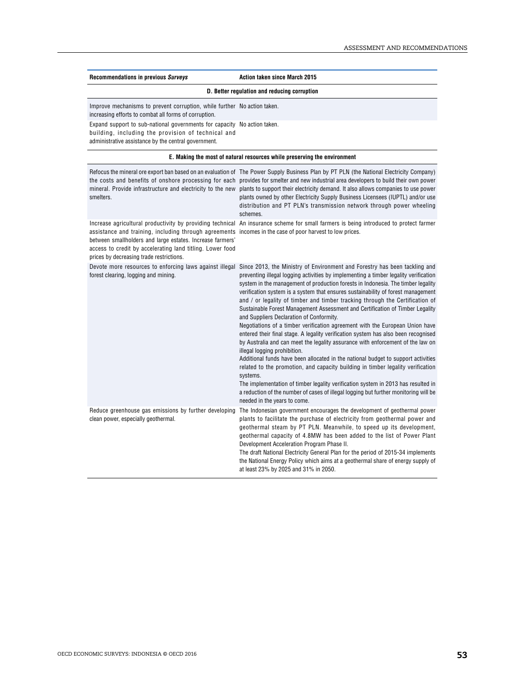| <b>Recommendations in previous Surveys</b>                                                                                                                                                                                                                                     | <b>Action taken since March 2015</b>                                                                                                                                                                                                                                                                                                                                                                                                                                                                                                                                                                                                                                                                                                                                                                                                                                                                                                                                                                                                                                                                                                                                                                                                              |
|--------------------------------------------------------------------------------------------------------------------------------------------------------------------------------------------------------------------------------------------------------------------------------|---------------------------------------------------------------------------------------------------------------------------------------------------------------------------------------------------------------------------------------------------------------------------------------------------------------------------------------------------------------------------------------------------------------------------------------------------------------------------------------------------------------------------------------------------------------------------------------------------------------------------------------------------------------------------------------------------------------------------------------------------------------------------------------------------------------------------------------------------------------------------------------------------------------------------------------------------------------------------------------------------------------------------------------------------------------------------------------------------------------------------------------------------------------------------------------------------------------------------------------------------|
| D. Better regulation and reducing corruption                                                                                                                                                                                                                                   |                                                                                                                                                                                                                                                                                                                                                                                                                                                                                                                                                                                                                                                                                                                                                                                                                                                                                                                                                                                                                                                                                                                                                                                                                                                   |
| Improve mechanisms to prevent corruption, while further No action taken.<br>increasing efforts to combat all forms of corruption.                                                                                                                                              |                                                                                                                                                                                                                                                                                                                                                                                                                                                                                                                                                                                                                                                                                                                                                                                                                                                                                                                                                                                                                                                                                                                                                                                                                                                   |
| Expand support to sub-national governments for capacity No action taken.<br>building, including the provision of technical and<br>administrative assistance by the central government.                                                                                         |                                                                                                                                                                                                                                                                                                                                                                                                                                                                                                                                                                                                                                                                                                                                                                                                                                                                                                                                                                                                                                                                                                                                                                                                                                                   |
| E. Making the most of natural resources while preserving the environment                                                                                                                                                                                                       |                                                                                                                                                                                                                                                                                                                                                                                                                                                                                                                                                                                                                                                                                                                                                                                                                                                                                                                                                                                                                                                                                                                                                                                                                                                   |
| mineral. Provide infrastructure and electricity to the new<br>smelters.                                                                                                                                                                                                        | Refocus the mineral ore export ban based on an evaluation of The Power Supply Business Plan by PT PLN (the National Electricity Company)<br>the costs and benefits of onshore processing for each provides for smelter and new industrial area developers to build their own power<br>plants to support their electricity demand. It also allows companies to use power<br>plants owned by other Electricity Supply Business Licensees (IUPTL) and/or use<br>distribution and PT PLN's transmission network through power wheeling<br>schemes.                                                                                                                                                                                                                                                                                                                                                                                                                                                                                                                                                                                                                                                                                                    |
| assistance and training, including through agreements incomes in the case of poor harvest to low prices.<br>between smallholders and large estates. Increase farmers'<br>access to credit by accelerating land titling. Lower food<br>prices by decreasing trade restrictions. | Increase agricultural productivity by providing technical An insurance scheme for small farmers is being introduced to protect farmer                                                                                                                                                                                                                                                                                                                                                                                                                                                                                                                                                                                                                                                                                                                                                                                                                                                                                                                                                                                                                                                                                                             |
| Devote more resources to enforcing laws against illegal<br>forest clearing, logging and mining.                                                                                                                                                                                | Since 2013, the Ministry of Environment and Forestry has been tackling and<br>preventing illegal logging activities by implementing a timber legality verification<br>system in the management of production forests in Indonesia. The timber legality<br>verification system is a system that ensures sustainability of forest management<br>and / or legality of timber and timber tracking through the Certification of<br>Sustainable Forest Management Assessment and Certification of Timber Legality<br>and Suppliers Declaration of Conformity.<br>Negotiations of a timber verification agreement with the European Union have<br>entered their final stage. A legality verification system has also been recognised<br>by Australia and can meet the legality assurance with enforcement of the law on<br>illegal logging prohibition.<br>Additional funds have been allocated in the national budget to support activities<br>related to the promotion, and capacity building in timber legality verification<br>systems.<br>The implementation of timber legality verification system in 2013 has resulted in<br>a reduction of the number of cases of illegal logging but further monitoring will be<br>needed in the years to come. |
| Reduce greenhouse gas emissions by further developing<br>clean power, especially geothermal.                                                                                                                                                                                   | The Indonesian government encourages the development of geothermal power<br>plants to facilitate the purchase of electricity from geothermal power and<br>geothermal steam by PT PLN. Meanwhile, to speed up its development,<br>geothermal capacity of 4.8MW has been added to the list of Power Plant<br>Development Acceleration Program Phase II.<br>The draft National Electricity General Plan for the period of 2015-34 implements<br>the National Energy Policy which aims at a geothermal share of energy supply of<br>at least 23% by 2025 and 31% in 2050.                                                                                                                                                                                                                                                                                                                                                                                                                                                                                                                                                                                                                                                                             |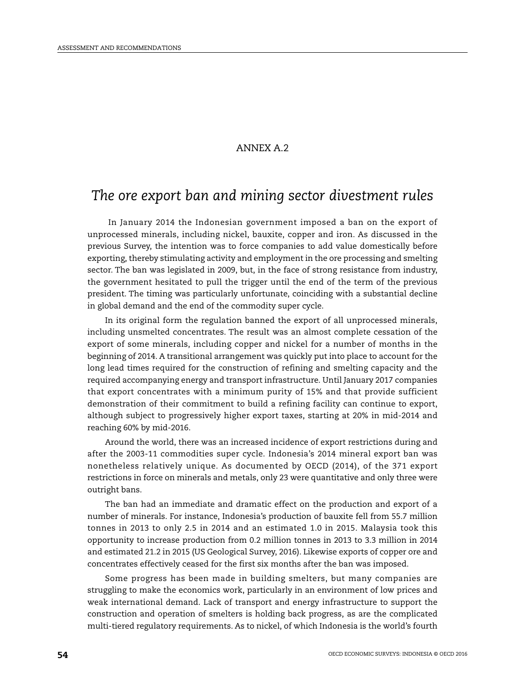## ANNEX A.2

## *The ore export ban and mining sector divestment rules*

In January 2014 the Indonesian government imposed a ban on the export of unprocessed minerals, including nickel, bauxite, copper and iron. As discussed in the previous Survey, the intention was to force companies to add value domestically before exporting, thereby stimulating activity and employment in the ore processing and smelting sector. The ban was legislated in 2009, but, in the face of strong resistance from industry, the government hesitated to pull the trigger until the end of the term of the previous president. The timing was particularly unfortunate, coinciding with a substantial decline in global demand and the end of the commodity super cycle.

In its original form the regulation banned the export of all unprocessed minerals, including unsmelted concentrates. The result was an almost complete cessation of the export of some minerals, including copper and nickel for a number of months in the beginning of 2014. A transitional arrangement was quickly put into place to account for the long lead times required for the construction of refining and smelting capacity and the required accompanying energy and transport infrastructure. Until January 2017 companies that export concentrates with a minimum purity of 15% and that provide sufficient demonstration of their commitment to build a refining facility can continue to export, although subject to progressively higher export taxes, starting at 20% in mid-2014 and reaching 60% by mid-2016.

Around the world, there was an increased incidence of export restrictions during and after the 2003-11 commodities super cycle. Indonesia's 2014 mineral export ban was nonetheless relatively unique. As documented by OECD (2014), of the 371 export restrictions in force on minerals and metals, only 23 were quantitative and only three were outright bans.

The ban had an immediate and dramatic effect on the production and export of a number of minerals. For instance, Indonesia's production of bauxite fell from 55.7 million tonnes in 2013 to only 2.5 in 2014 and an estimated 1.0 in 2015. Malaysia took this opportunity to increase production from 0.2 million tonnes in 2013 to 3.3 million in 2014 and estimated 21.2 in 2015 (US Geological Survey, 2016). Likewise exports of copper ore and concentrates effectively ceased for the first six months after the ban was imposed.

Some progress has been made in building smelters, but many companies are struggling to make the economics work, particularly in an environment of low prices and weak international demand. Lack of transport and energy infrastructure to support the construction and operation of smelters is holding back progress, as are the complicated multi-tiered regulatory requirements. As to nickel, of which Indonesia is the world's fourth